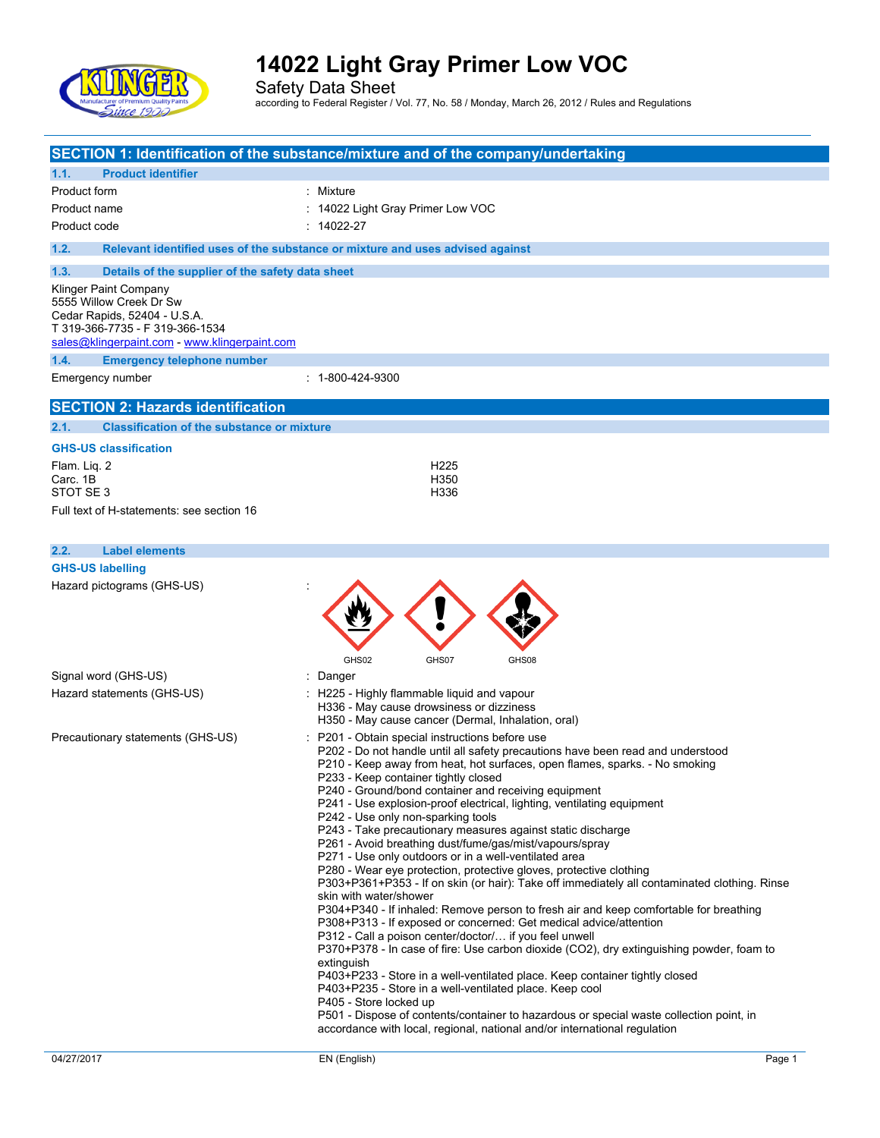

|                                                                                                                                                                      | SECTION 1: Identification of the substance/mixture and of the company/undertaking                                                                                                                                                                                                                                                                                                                                                                                                                                                                                                                                                                                                                                                                                                                                                                                                                                                                                                                                                                                                                                                                                                                                                                                                                                                                                                                                                                                                                |
|----------------------------------------------------------------------------------------------------------------------------------------------------------------------|--------------------------------------------------------------------------------------------------------------------------------------------------------------------------------------------------------------------------------------------------------------------------------------------------------------------------------------------------------------------------------------------------------------------------------------------------------------------------------------------------------------------------------------------------------------------------------------------------------------------------------------------------------------------------------------------------------------------------------------------------------------------------------------------------------------------------------------------------------------------------------------------------------------------------------------------------------------------------------------------------------------------------------------------------------------------------------------------------------------------------------------------------------------------------------------------------------------------------------------------------------------------------------------------------------------------------------------------------------------------------------------------------------------------------------------------------------------------------------------------------|
| 1.1.<br><b>Product identifier</b>                                                                                                                                    |                                                                                                                                                                                                                                                                                                                                                                                                                                                                                                                                                                                                                                                                                                                                                                                                                                                                                                                                                                                                                                                                                                                                                                                                                                                                                                                                                                                                                                                                                                  |
| Product form                                                                                                                                                         | : Mixture                                                                                                                                                                                                                                                                                                                                                                                                                                                                                                                                                                                                                                                                                                                                                                                                                                                                                                                                                                                                                                                                                                                                                                                                                                                                                                                                                                                                                                                                                        |
| Product name                                                                                                                                                         | : 14022 Light Gray Primer Low VOC                                                                                                                                                                                                                                                                                                                                                                                                                                                                                                                                                                                                                                                                                                                                                                                                                                                                                                                                                                                                                                                                                                                                                                                                                                                                                                                                                                                                                                                                |
| Product code                                                                                                                                                         | $: 14022 - 27$                                                                                                                                                                                                                                                                                                                                                                                                                                                                                                                                                                                                                                                                                                                                                                                                                                                                                                                                                                                                                                                                                                                                                                                                                                                                                                                                                                                                                                                                                   |
| 1.2.                                                                                                                                                                 | Relevant identified uses of the substance or mixture and uses advised against                                                                                                                                                                                                                                                                                                                                                                                                                                                                                                                                                                                                                                                                                                                                                                                                                                                                                                                                                                                                                                                                                                                                                                                                                                                                                                                                                                                                                    |
| 1.3.<br>Details of the supplier of the safety data sheet                                                                                                             |                                                                                                                                                                                                                                                                                                                                                                                                                                                                                                                                                                                                                                                                                                                                                                                                                                                                                                                                                                                                                                                                                                                                                                                                                                                                                                                                                                                                                                                                                                  |
| Klinger Paint Company<br>5555 Willow Creek Dr Sw<br>Cedar Rapids, 52404 - U.S.A.<br>T 319-366-7735 - F 319-366-1534<br>sales@klingerpaint.com - www.klingerpaint.com |                                                                                                                                                                                                                                                                                                                                                                                                                                                                                                                                                                                                                                                                                                                                                                                                                                                                                                                                                                                                                                                                                                                                                                                                                                                                                                                                                                                                                                                                                                  |
| 1.4.<br><b>Emergency telephone number</b>                                                                                                                            |                                                                                                                                                                                                                                                                                                                                                                                                                                                                                                                                                                                                                                                                                                                                                                                                                                                                                                                                                                                                                                                                                                                                                                                                                                                                                                                                                                                                                                                                                                  |
| Emergency number                                                                                                                                                     | $: 1 - 800 - 424 - 9300$                                                                                                                                                                                                                                                                                                                                                                                                                                                                                                                                                                                                                                                                                                                                                                                                                                                                                                                                                                                                                                                                                                                                                                                                                                                                                                                                                                                                                                                                         |
| <b>SECTION 2: Hazards identification</b>                                                                                                                             |                                                                                                                                                                                                                                                                                                                                                                                                                                                                                                                                                                                                                                                                                                                                                                                                                                                                                                                                                                                                                                                                                                                                                                                                                                                                                                                                                                                                                                                                                                  |
| <b>Classification of the substance or mixture</b><br>2.1.                                                                                                            |                                                                                                                                                                                                                                                                                                                                                                                                                                                                                                                                                                                                                                                                                                                                                                                                                                                                                                                                                                                                                                                                                                                                                                                                                                                                                                                                                                                                                                                                                                  |
| <b>GHS-US classification</b>                                                                                                                                         |                                                                                                                                                                                                                                                                                                                                                                                                                                                                                                                                                                                                                                                                                                                                                                                                                                                                                                                                                                                                                                                                                                                                                                                                                                                                                                                                                                                                                                                                                                  |
| Flam. Liq. 2                                                                                                                                                         | H <sub>225</sub>                                                                                                                                                                                                                                                                                                                                                                                                                                                                                                                                                                                                                                                                                                                                                                                                                                                                                                                                                                                                                                                                                                                                                                                                                                                                                                                                                                                                                                                                                 |
| Carc. 1B                                                                                                                                                             | H350                                                                                                                                                                                                                                                                                                                                                                                                                                                                                                                                                                                                                                                                                                                                                                                                                                                                                                                                                                                                                                                                                                                                                                                                                                                                                                                                                                                                                                                                                             |
| STOT SE <sub>3</sub>                                                                                                                                                 | H336                                                                                                                                                                                                                                                                                                                                                                                                                                                                                                                                                                                                                                                                                                                                                                                                                                                                                                                                                                                                                                                                                                                                                                                                                                                                                                                                                                                                                                                                                             |
| Full text of H-statements: see section 16                                                                                                                            |                                                                                                                                                                                                                                                                                                                                                                                                                                                                                                                                                                                                                                                                                                                                                                                                                                                                                                                                                                                                                                                                                                                                                                                                                                                                                                                                                                                                                                                                                                  |
| 2.2.<br><b>Label elements</b>                                                                                                                                        |                                                                                                                                                                                                                                                                                                                                                                                                                                                                                                                                                                                                                                                                                                                                                                                                                                                                                                                                                                                                                                                                                                                                                                                                                                                                                                                                                                                                                                                                                                  |
| <b>GHS-US labelling</b>                                                                                                                                              |                                                                                                                                                                                                                                                                                                                                                                                                                                                                                                                                                                                                                                                                                                                                                                                                                                                                                                                                                                                                                                                                                                                                                                                                                                                                                                                                                                                                                                                                                                  |
| Hazard pictograms (GHS-US)                                                                                                                                           | GHS02<br>GHS07<br>GHS08                                                                                                                                                                                                                                                                                                                                                                                                                                                                                                                                                                                                                                                                                                                                                                                                                                                                                                                                                                                                                                                                                                                                                                                                                                                                                                                                                                                                                                                                          |
| Signal word (GHS-US)                                                                                                                                                 | : Danger                                                                                                                                                                                                                                                                                                                                                                                                                                                                                                                                                                                                                                                                                                                                                                                                                                                                                                                                                                                                                                                                                                                                                                                                                                                                                                                                                                                                                                                                                         |
| Hazard statements (GHS-US)                                                                                                                                           | : H225 - Highly flammable liquid and vapour<br>H336 - May cause drowsiness or dizziness<br>H350 - May cause cancer (Dermal, Inhalation, oral)                                                                                                                                                                                                                                                                                                                                                                                                                                                                                                                                                                                                                                                                                                                                                                                                                                                                                                                                                                                                                                                                                                                                                                                                                                                                                                                                                    |
| Precautionary statements (GHS-US)                                                                                                                                    | P201 - Obtain special instructions before use<br>P202 - Do not handle until all safety precautions have been read and understood<br>P210 - Keep away from heat, hot surfaces, open flames, sparks. - No smoking<br>P233 - Keep container tightly closed<br>P240 - Ground/bond container and receiving equipment<br>P241 - Use explosion-proof electrical, lighting, ventilating equipment<br>P242 - Use only non-sparking tools<br>P243 - Take precautionary measures against static discharge<br>P261 - Avoid breathing dust/fume/gas/mist/vapours/spray<br>P271 - Use only outdoors or in a well-ventilated area<br>P280 - Wear eye protection, protective gloves, protective clothing<br>P303+P361+P353 - If on skin (or hair): Take off immediately all contaminated clothing. Rinse<br>skin with water/shower<br>P304+P340 - If inhaled: Remove person to fresh air and keep comfortable for breathing<br>P308+P313 - If exposed or concerned: Get medical advice/attention<br>P312 - Call a poison center/doctor/ if you feel unwell<br>P370+P378 - In case of fire: Use carbon dioxide (CO2), dry extinguishing powder, foam to<br>extinguish<br>P403+P233 - Store in a well-ventilated place. Keep container tightly closed<br>P403+P235 - Store in a well-ventilated place. Keep cool<br>P405 - Store locked up<br>P501 - Dispose of contents/container to hazardous or special waste collection point, in<br>accordance with local, regional, national and/or international regulation |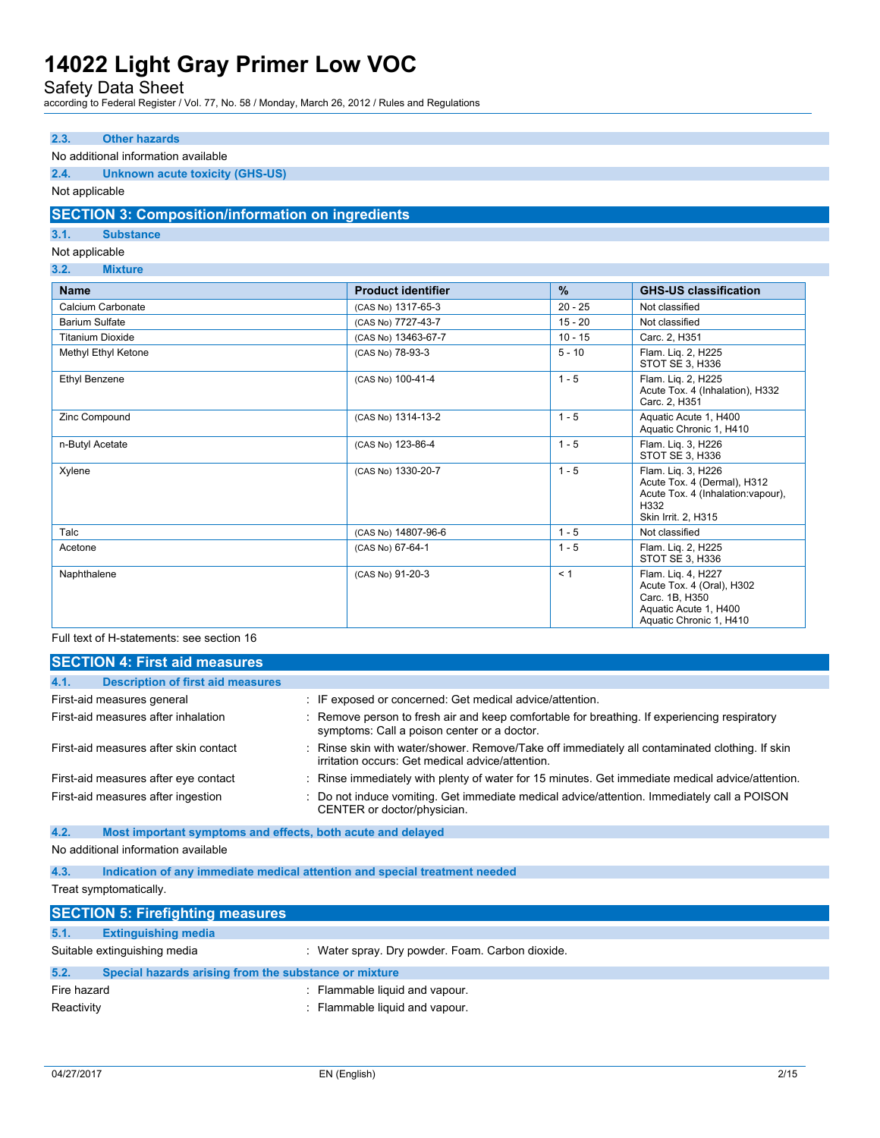Safety Data Sheet

according to Federal Register / Vol. 77, No. 58 / Monday, March 26, 2012 / Rules and Regulations

### **2.3. Other hazards**

#### No additional information available

### **2.4. Unknown acute toxicity (GHS-US)**

#### Not applicable

### **SECTION 3: Composition/information on ingredients**

### **3.1. Substance**

### Not applicable

#### **3.2. Mixture**

| <b>Name</b>             | <b>Product identifier</b> | %         | <b>GHS-US classification</b>                                                                                           |
|-------------------------|---------------------------|-----------|------------------------------------------------------------------------------------------------------------------------|
| Calcium Carbonate       | (CAS No) 1317-65-3        | $20 - 25$ | Not classified                                                                                                         |
| <b>Barium Sulfate</b>   | (CAS No) 7727-43-7        | $15 - 20$ | Not classified                                                                                                         |
| <b>Titanium Dioxide</b> | (CAS No) 13463-67-7       | $10 - 15$ | Carc. 2, H351                                                                                                          |
| Methyl Ethyl Ketone     | (CAS No) 78-93-3          | $5 - 10$  | Flam. Lig. 2, H225<br>STOT SE 3, H336                                                                                  |
| <b>Ethyl Benzene</b>    | (CAS No) 100-41-4         | $1 - 5$   | Flam. Lig. 2, H225<br>Acute Tox. 4 (Inhalation), H332<br>Carc. 2, H351                                                 |
| Zinc Compound           | (CAS No) 1314-13-2        | $1 - 5$   | Aquatic Acute 1, H400<br>Aquatic Chronic 1, H410                                                                       |
| n-Butyl Acetate         | (CAS No) 123-86-4         | $1 - 5$   | Flam. Lig. 3, H226<br>STOT SE 3, H336                                                                                  |
| Xylene                  | (CAS No) 1330-20-7        | $1 - 5$   | Flam. Lig. 3, H226<br>Acute Tox. 4 (Dermal), H312<br>Acute Tox. 4 (Inhalation: vapour),<br>H332<br>Skin Irrit. 2, H315 |
| Talc                    | (CAS No) 14807-96-6       | $1 - 5$   | Not classified                                                                                                         |
| Acetone                 | (CAS No) 67-64-1          | $1 - 5$   | Flam. Lig. 2, H225<br>STOT SE 3, H336                                                                                  |
| Naphthalene             | (CAS No) 91-20-3          | < 1       | Flam. Lig. 4, H227<br>Acute Tox. 4 (Oral), H302<br>Carc. 1B, H350<br>Aquatic Acute 1, H400<br>Aquatic Chronic 1, H410  |

#### Full text of H-statements: see section 16

| <b>SECTION 4: First aid measures</b>             |                                                                                                                                                    |
|--------------------------------------------------|----------------------------------------------------------------------------------------------------------------------------------------------------|
| 4.1.<br><b>Description of first aid measures</b> |                                                                                                                                                    |
| First-aid measures general                       | : IF exposed or concerned: Get medical advice/attention.                                                                                           |
| First-aid measures after inhalation              | : Remove person to fresh air and keep comfortable for breathing. If experiencing respiratory<br>symptoms: Call a poison center or a doctor.        |
| First-aid measures after skin contact            | : Rinse skin with water/shower. Remove/Take off immediately all contaminated clothing. If skin<br>irritation occurs: Get medical advice/attention. |
| First-aid measures after eye contact             | : Rinse immediately with plenty of water for 15 minutes. Get immediate medical advice/attention.                                                   |
| First-aid measures after ingestion               | : Do not induce vomiting. Get immediate medical advice/attention. Immediately call a POISON<br>CENTER or doctor/physician.                         |

### **4.2. Most important symptoms and effects, both acute and delayed**

#### No additional information available

**4.3. Indication of any immediate medical attention and special treatment needed**

Treat symptomatically.

| <b>SECTION 5: Firefighting measures</b> |                                                       |                                                  |
|-----------------------------------------|-------------------------------------------------------|--------------------------------------------------|
| 5.1.                                    | <b>Extinguishing media</b>                            |                                                  |
|                                         | Suitable extinguishing media                          | : Water spray. Dry powder. Foam. Carbon dioxide. |
| 5.2.                                    | Special hazards arising from the substance or mixture |                                                  |
| Fire hazard                             |                                                       | : Flammable liquid and vapour.                   |
| Reactivity                              |                                                       | : Flammable liquid and vapour.                   |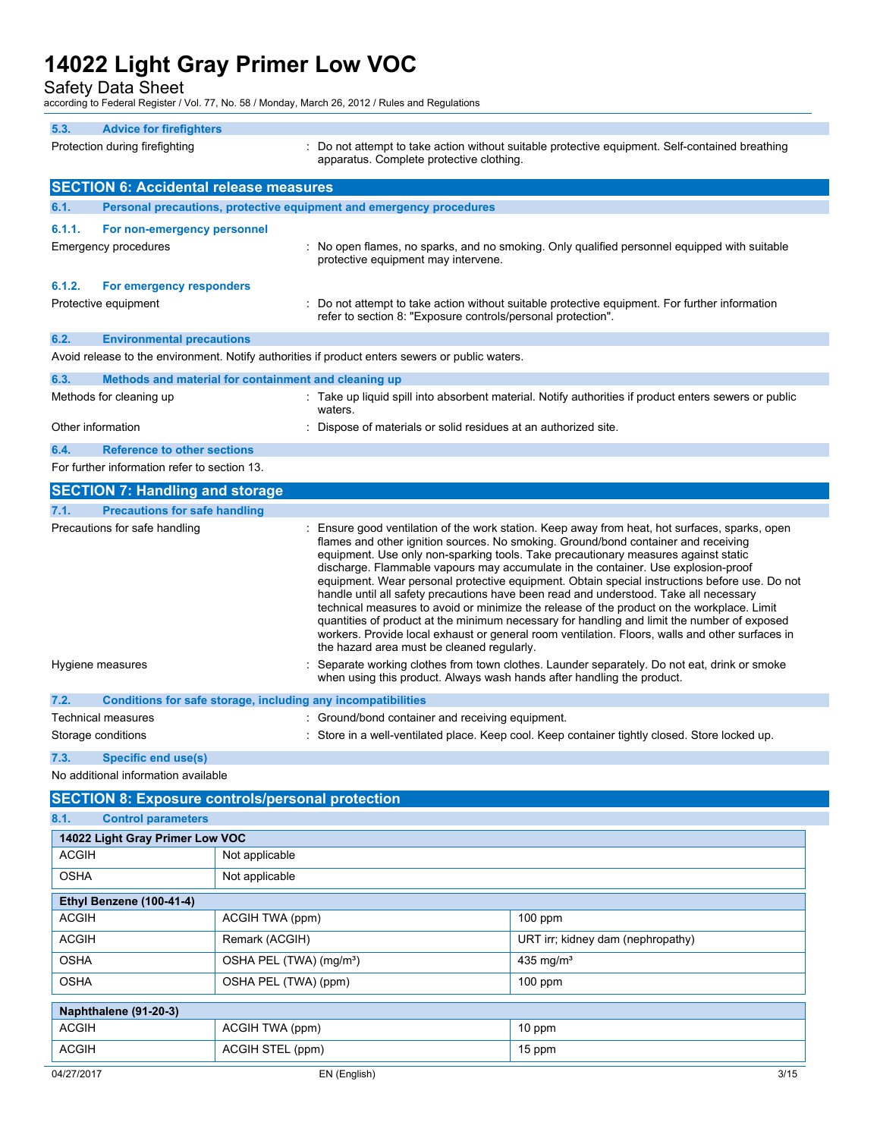Safety Data Sheet

according to Federal Register / Vol. 77, No. 58 / Monday, March 26, 2012 / Rules and Regulations

|        | according to Federal Register / Vol. 77, No. 567 Monday, March 20, 2012 / Rules and Regulations |                                                                                                                                                                                                                                                                                                                                                                                                                                                                                                                                                                                                                                                                                                                                                                                                                                                                                                       |
|--------|-------------------------------------------------------------------------------------------------|-------------------------------------------------------------------------------------------------------------------------------------------------------------------------------------------------------------------------------------------------------------------------------------------------------------------------------------------------------------------------------------------------------------------------------------------------------------------------------------------------------------------------------------------------------------------------------------------------------------------------------------------------------------------------------------------------------------------------------------------------------------------------------------------------------------------------------------------------------------------------------------------------------|
| 5.3.   | <b>Advice for firefighters</b>                                                                  |                                                                                                                                                                                                                                                                                                                                                                                                                                                                                                                                                                                                                                                                                                                                                                                                                                                                                                       |
|        | Protection during firefighting                                                                  | : Do not attempt to take action without suitable protective equipment. Self-contained breathing<br>apparatus. Complete protective clothing.                                                                                                                                                                                                                                                                                                                                                                                                                                                                                                                                                                                                                                                                                                                                                           |
|        | <b>SECTION 6: Accidental release measures</b>                                                   |                                                                                                                                                                                                                                                                                                                                                                                                                                                                                                                                                                                                                                                                                                                                                                                                                                                                                                       |
| 6.1.   | Personal precautions, protective equipment and emergency procedures                             |                                                                                                                                                                                                                                                                                                                                                                                                                                                                                                                                                                                                                                                                                                                                                                                                                                                                                                       |
| 6.1.1. | For non-emergency personnel                                                                     |                                                                                                                                                                                                                                                                                                                                                                                                                                                                                                                                                                                                                                                                                                                                                                                                                                                                                                       |
|        | <b>Emergency procedures</b>                                                                     | : No open flames, no sparks, and no smoking. Only qualified personnel equipped with suitable<br>protective equipment may intervene.                                                                                                                                                                                                                                                                                                                                                                                                                                                                                                                                                                                                                                                                                                                                                                   |
| 6.1.2. | For emergency responders                                                                        |                                                                                                                                                                                                                                                                                                                                                                                                                                                                                                                                                                                                                                                                                                                                                                                                                                                                                                       |
|        | Protective equipment                                                                            | Do not attempt to take action without suitable protective equipment. For further information<br>refer to section 8: "Exposure controls/personal protection".                                                                                                                                                                                                                                                                                                                                                                                                                                                                                                                                                                                                                                                                                                                                          |
| 6.2.   | <b>Environmental precautions</b>                                                                |                                                                                                                                                                                                                                                                                                                                                                                                                                                                                                                                                                                                                                                                                                                                                                                                                                                                                                       |
|        |                                                                                                 | Avoid release to the environment. Notify authorities if product enters sewers or public waters.                                                                                                                                                                                                                                                                                                                                                                                                                                                                                                                                                                                                                                                                                                                                                                                                       |
| 6.3.   | Methods and material for containment and cleaning up                                            |                                                                                                                                                                                                                                                                                                                                                                                                                                                                                                                                                                                                                                                                                                                                                                                                                                                                                                       |
|        | Methods for cleaning up                                                                         | : Take up liquid spill into absorbent material. Notify authorities if product enters sewers or public<br>waters.                                                                                                                                                                                                                                                                                                                                                                                                                                                                                                                                                                                                                                                                                                                                                                                      |
|        | Other information                                                                               | Dispose of materials or solid residues at an authorized site.                                                                                                                                                                                                                                                                                                                                                                                                                                                                                                                                                                                                                                                                                                                                                                                                                                         |
| 6.4.   | <b>Reference to other sections</b>                                                              |                                                                                                                                                                                                                                                                                                                                                                                                                                                                                                                                                                                                                                                                                                                                                                                                                                                                                                       |
|        | For further information refer to section 13.                                                    |                                                                                                                                                                                                                                                                                                                                                                                                                                                                                                                                                                                                                                                                                                                                                                                                                                                                                                       |
|        | <b>SECTION 7: Handling and storage</b>                                                          |                                                                                                                                                                                                                                                                                                                                                                                                                                                                                                                                                                                                                                                                                                                                                                                                                                                                                                       |
| 7.1.   | <b>Precautions for safe handling</b>                                                            |                                                                                                                                                                                                                                                                                                                                                                                                                                                                                                                                                                                                                                                                                                                                                                                                                                                                                                       |
|        | Precautions for safe handling                                                                   | Ensure good ventilation of the work station. Keep away from heat, hot surfaces, sparks, open<br>flames and other ignition sources. No smoking. Ground/bond container and receiving<br>equipment. Use only non-sparking tools. Take precautionary measures against static<br>discharge. Flammable vapours may accumulate in the container. Use explosion-proof<br>equipment. Wear personal protective equipment. Obtain special instructions before use. Do not<br>handle until all safety precautions have been read and understood. Take all necessary<br>technical measures to avoid or minimize the release of the product on the workplace. Limit<br>quantities of product at the minimum necessary for handling and limit the number of exposed<br>workers. Provide local exhaust or general room ventilation. Floors, walls and other surfaces in<br>the hazard area must be cleaned regularly. |
|        | Hygiene measures                                                                                | Separate working clothes from town clothes. Launder separately. Do not eat, drink or smoke<br>when using this product. Always wash hands after handling the product.                                                                                                                                                                                                                                                                                                                                                                                                                                                                                                                                                                                                                                                                                                                                  |
| 7.2.   | Conditions for safe storage, including any incompatibilities                                    |                                                                                                                                                                                                                                                                                                                                                                                                                                                                                                                                                                                                                                                                                                                                                                                                                                                                                                       |
|        | Technical measures                                                                              | : Ground/bond container and receiving equipment.                                                                                                                                                                                                                                                                                                                                                                                                                                                                                                                                                                                                                                                                                                                                                                                                                                                      |
|        | Storage conditions                                                                              | : Store in a well-ventilated place. Keep cool. Keep container tightly closed. Store locked up.                                                                                                                                                                                                                                                                                                                                                                                                                                                                                                                                                                                                                                                                                                                                                                                                        |

**7.3. Specific end use(s)**

No additional information available

| <b>SECTION 8: Exposure controls/personal protection</b> |                                     |                                   |  |
|---------------------------------------------------------|-------------------------------------|-----------------------------------|--|
| 8.1.<br><b>Control parameters</b>                       |                                     |                                   |  |
| 14022 Light Gray Primer Low VOC                         |                                     |                                   |  |
| <b>ACGIH</b>                                            | Not applicable                      |                                   |  |
| <b>OSHA</b>                                             | Not applicable                      |                                   |  |
| Ethyl Benzene (100-41-4)                                |                                     |                                   |  |
| <b>ACGIH</b>                                            | ACGIH TWA (ppm)                     | $100$ ppm                         |  |
| <b>ACGIH</b>                                            | Remark (ACGIH)                      | URT irr; kidney dam (nephropathy) |  |
| <b>OSHA</b>                                             | OSHA PEL (TWA) (mg/m <sup>3</sup> ) | 435 mg/ $m3$                      |  |
| <b>OSHA</b>                                             | OSHA PEL (TWA) (ppm)                | $100$ ppm                         |  |
| Naphthalene (91-20-3)                                   |                                     |                                   |  |
| <b>ACGIH</b>                                            | ACGIH TWA (ppm)                     | 10 ppm                            |  |
| <b>ACGIH</b>                                            | ACGIH STEL (ppm)                    | 15 ppm                            |  |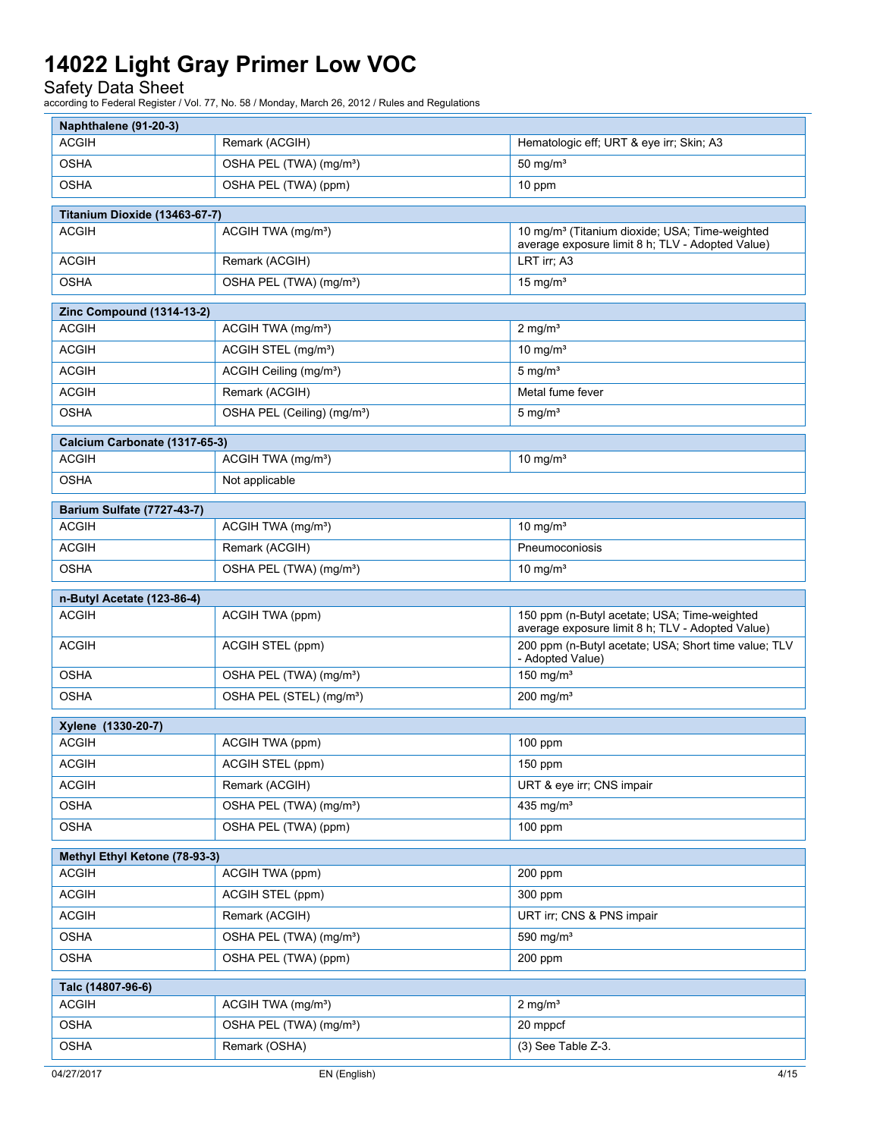### Safety Data Sheet

| Naphthalene (91-20-3)                         |                                         |                                                                                                                |
|-----------------------------------------------|-----------------------------------------|----------------------------------------------------------------------------------------------------------------|
| <b>ACGIH</b>                                  | Remark (ACGIH)                          | Hematologic eff; URT & eye irr; Skin; A3                                                                       |
| <b>OSHA</b>                                   | OSHA PEL (TWA) (mg/m <sup>3</sup> )     | 50 mg/ $m3$                                                                                                    |
| <b>OSHA</b>                                   | OSHA PEL (TWA) (ppm)                    | 10 ppm                                                                                                         |
| Titanium Dioxide (13463-67-7)                 |                                         |                                                                                                                |
| <b>ACGIH</b>                                  | ACGIH TWA (mg/m <sup>3</sup> )          | 10 mg/m <sup>3</sup> (Titanium dioxide; USA; Time-weighted<br>average exposure limit 8 h; TLV - Adopted Value) |
| <b>ACGIH</b>                                  | Remark (ACGIH)                          | LRT irr; A3                                                                                                    |
| <b>OSHA</b>                                   | OSHA PEL (TWA) (mg/m <sup>3</sup> )     | $15 \text{ mg/m}^3$                                                                                            |
| <b>Zinc Compound (1314-13-2)</b>              |                                         |                                                                                                                |
| ACGIH                                         | ACGIH TWA (mg/m <sup>3</sup> )          | $2$ mg/m <sup>3</sup>                                                                                          |
| <b>ACGIH</b>                                  | ACGIH STEL (mg/m <sup>3</sup> )         | 10 mg/m <sup>3</sup>                                                                                           |
| <b>ACGIH</b>                                  | ACGIH Ceiling (mg/m <sup>3</sup> )      | $5 \text{ mg/m}^3$                                                                                             |
| <b>ACGIH</b>                                  | Remark (ACGIH)                          | Metal fume fever                                                                                               |
| <b>OSHA</b>                                   | OSHA PEL (Ceiling) (mg/m <sup>3</sup> ) | $5 \text{ mg/m}^3$                                                                                             |
|                                               |                                         |                                                                                                                |
| Calcium Carbonate (1317-65-3)<br><b>ACGIH</b> | ACGIH TWA (mg/m <sup>3</sup> )          | 10 mg/m <sup>3</sup>                                                                                           |
| <b>OSHA</b>                                   | Not applicable                          |                                                                                                                |
|                                               |                                         |                                                                                                                |
| <b>Barium Sulfate (7727-43-7)</b>             |                                         |                                                                                                                |
| ACGIH                                         | ACGIH TWA (mg/m <sup>3</sup> )          | 10 mg/ $m3$                                                                                                    |
| <b>ACGIH</b>                                  | Remark (ACGIH)                          | Pneumoconiosis                                                                                                 |
| <b>OSHA</b>                                   | OSHA PEL (TWA) (mg/m <sup>3</sup> )     | 10 mg/m <sup>3</sup>                                                                                           |
| n-Butyl Acetate (123-86-4)                    |                                         |                                                                                                                |
| <b>ACGIH</b>                                  | ACGIH TWA (ppm)                         | 150 ppm (n-Butyl acetate; USA; Time-weighted<br>average exposure limit 8 h; TLV - Adopted Value)               |
| ACGIH                                         | ACGIH STEL (ppm)                        | 200 ppm (n-Butyl acetate; USA; Short time value; TLV<br>- Adopted Value)                                       |
| <b>OSHA</b>                                   | OSHA PEL (TWA) (mg/m <sup>3</sup> )     | 150 mg/ $m3$                                                                                                   |
| <b>OSHA</b>                                   | OSHA PEL (STEL) (mg/m <sup>3</sup> )    | $200$ mg/m <sup>3</sup>                                                                                        |
| Xylene (1330-20-7)                            |                                         |                                                                                                                |
| <b>ACGIH</b>                                  | ACGIH TWA (ppm)                         | 100 ppm                                                                                                        |
| <b>ACGIH</b>                                  | ACGIH STEL (ppm)                        | 150 ppm                                                                                                        |
| <b>ACGIH</b>                                  | Remark (ACGIH)                          | URT & eye irr; CNS impair                                                                                      |
| <b>OSHA</b>                                   | OSHA PEL (TWA) (mg/m <sup>3</sup> )     | 435 mg/m <sup>3</sup>                                                                                          |
| <b>OSHA</b>                                   | OSHA PEL (TWA) (ppm)                    | 100 ppm                                                                                                        |
| Methyl Ethyl Ketone (78-93-3)                 |                                         |                                                                                                                |
| <b>ACGIH</b>                                  | ACGIH TWA (ppm)                         | 200 ppm                                                                                                        |
| <b>ACGIH</b>                                  | ACGIH STEL (ppm)                        | 300 ppm                                                                                                        |
| <b>ACGIH</b>                                  | Remark (ACGIH)                          | URT irr; CNS & PNS impair                                                                                      |
| <b>OSHA</b>                                   | OSHA PEL (TWA) (mg/m <sup>3</sup> )     | 590 mg/ $m3$                                                                                                   |
| <b>OSHA</b>                                   | OSHA PEL (TWA) (ppm)                    | 200 ppm                                                                                                        |
| Talc (14807-96-6)                             |                                         |                                                                                                                |
| <b>ACGIH</b>                                  | ACGIH TWA (mg/m <sup>3</sup> )          | $2$ mg/m <sup>3</sup>                                                                                          |
| <b>OSHA</b>                                   | OSHA PEL (TWA) (mg/m <sup>3</sup> )     | 20 mppcf                                                                                                       |
| <b>OSHA</b>                                   | Remark (OSHA)                           | (3) See Table Z-3.                                                                                             |
|                                               |                                         |                                                                                                                |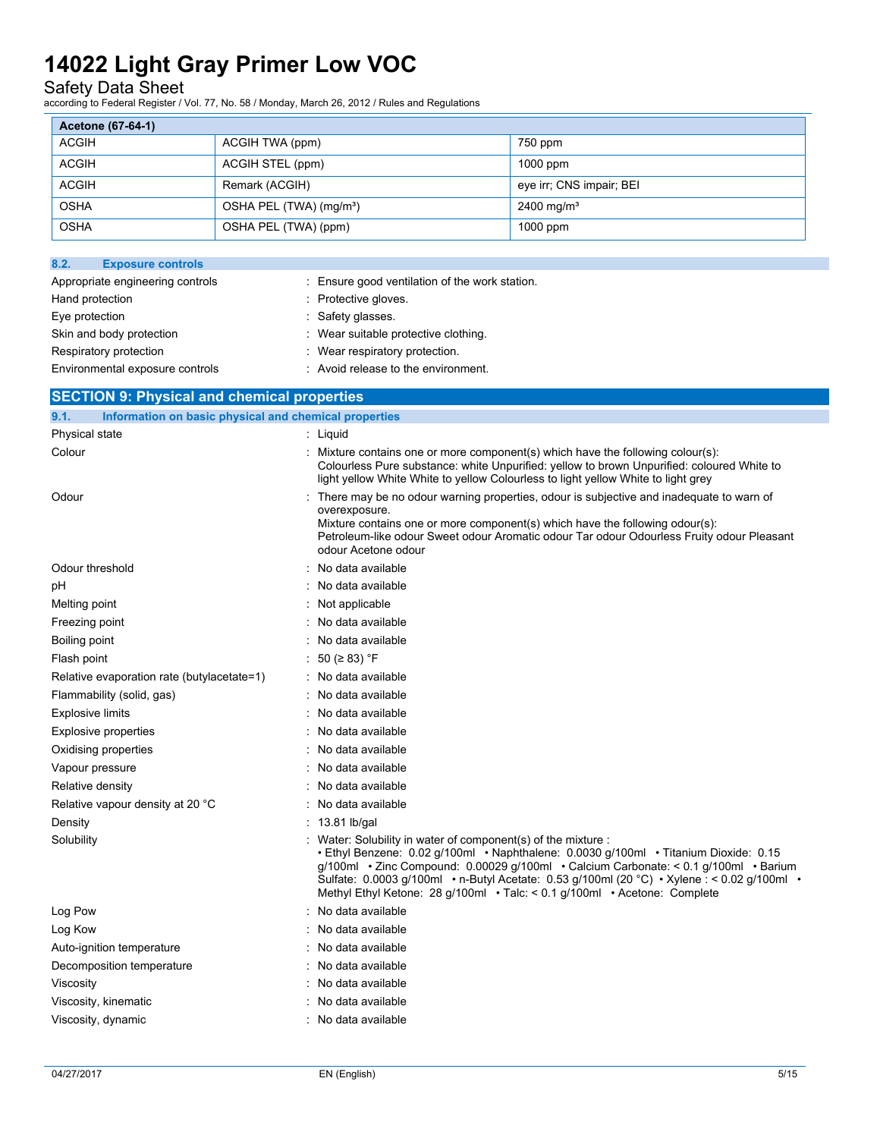### Safety Data Sheet

according to Federal Register / Vol. 77, No. 58 / Monday, March 26, 2012 / Rules and Regulations

| Acetone (67-64-1) |                                     |                          |
|-------------------|-------------------------------------|--------------------------|
| ACGIH             | ACGIH TWA (ppm)                     | 750 ppm                  |
| <b>ACGIH</b>      | ACGIH STEL (ppm)                    | $1000$ ppm               |
| <b>ACGIH</b>      | Remark (ACGIH)                      | eye irr; CNS impair; BEI |
| <b>OSHA</b>       | OSHA PEL (TWA) (mg/m <sup>3</sup> ) | $2400 \,\mathrm{mg/m^3}$ |
| <b>OSHA</b>       | OSHA PEL (TWA) (ppm)                | $1000$ ppm               |

| : Ensure good ventilation of the work station. |
|------------------------------------------------|
| Protective gloves.                             |
| : Safety glasses.                              |
| Wear suitable protective clothing.             |
| Wear respiratory protection.                   |
| : Avoid release to the environment.            |
|                                                |

| <b>SECTION 9: Physical and chemical properties</b>            |                                                                                                                                                                                                                                                                                                                                                                                                                         |  |
|---------------------------------------------------------------|-------------------------------------------------------------------------------------------------------------------------------------------------------------------------------------------------------------------------------------------------------------------------------------------------------------------------------------------------------------------------------------------------------------------------|--|
| Information on basic physical and chemical properties<br>9.1. |                                                                                                                                                                                                                                                                                                                                                                                                                         |  |
| Physical state                                                | : Liquid                                                                                                                                                                                                                                                                                                                                                                                                                |  |
| Colour                                                        | Mixture contains one or more component(s) which have the following colour(s):<br>Colourless Pure substance: white Unpurified: yellow to brown Unpurified: coloured White to<br>light yellow White White to yellow Colourless to light yellow White to light grey                                                                                                                                                        |  |
| Odour                                                         | There may be no odour warning properties, odour is subjective and inadequate to warn of<br>overexposure.<br>Mixture contains one or more component(s) which have the following odour(s):<br>Petroleum-like odour Sweet odour Aromatic odour Tar odour Odourless Fruity odour Pleasant<br>odour Acetone odour                                                                                                            |  |
| Odour threshold                                               | No data available                                                                                                                                                                                                                                                                                                                                                                                                       |  |
| рH                                                            | No data available                                                                                                                                                                                                                                                                                                                                                                                                       |  |
| Melting point                                                 | Not applicable                                                                                                                                                                                                                                                                                                                                                                                                          |  |
| Freezing point                                                | No data available                                                                                                                                                                                                                                                                                                                                                                                                       |  |
| Boiling point                                                 | No data available                                                                                                                                                                                                                                                                                                                                                                                                       |  |
| Flash point                                                   | 50 ( $\geq$ 83) °F                                                                                                                                                                                                                                                                                                                                                                                                      |  |
| Relative evaporation rate (butylacetate=1)                    | No data available                                                                                                                                                                                                                                                                                                                                                                                                       |  |
| Flammability (solid, gas)                                     | : No data available                                                                                                                                                                                                                                                                                                                                                                                                     |  |
| <b>Explosive limits</b>                                       | No data available                                                                                                                                                                                                                                                                                                                                                                                                       |  |
| <b>Explosive properties</b>                                   | : No data available                                                                                                                                                                                                                                                                                                                                                                                                     |  |
| Oxidising properties                                          | No data available                                                                                                                                                                                                                                                                                                                                                                                                       |  |
| Vapour pressure                                               | No data available                                                                                                                                                                                                                                                                                                                                                                                                       |  |
| Relative density                                              | No data available                                                                                                                                                                                                                                                                                                                                                                                                       |  |
| Relative vapour density at 20 °C                              | : No data available                                                                                                                                                                                                                                                                                                                                                                                                     |  |
| Density                                                       | : 13.81 lb/gal                                                                                                                                                                                                                                                                                                                                                                                                          |  |
| Solubility                                                    | Water: Solubility in water of component(s) of the mixture :<br>• Ethyl Benzene: 0.02 g/100ml • Naphthalene: 0.0030 g/100ml • Titanium Dioxide: 0.15<br>g/100ml • Zinc Compound: 0.00029 g/100ml • Calcium Carbonate: < 0.1 g/100ml • Barium<br>Sulfate: 0.0003 g/100ml • n-Butyl Acetate: 0.53 g/100ml (20 °C) • Xylene : < 0.02 g/100ml •<br>Methyl Ethyl Ketone: 28 g/100ml · Talc: < 0.1 g/100ml · Acetone: Complete |  |
| Log Pow                                                       | No data available                                                                                                                                                                                                                                                                                                                                                                                                       |  |
| Log Kow                                                       | No data available                                                                                                                                                                                                                                                                                                                                                                                                       |  |
| Auto-ignition temperature                                     | No data available                                                                                                                                                                                                                                                                                                                                                                                                       |  |
| Decomposition temperature                                     | No data available                                                                                                                                                                                                                                                                                                                                                                                                       |  |
| Viscosity                                                     | : No data available                                                                                                                                                                                                                                                                                                                                                                                                     |  |

Viscosity, kinematic **intervalse in the Contract Contract Contract Contract Contract Contract Contract Contract Contract Contract Contract Contract Contract Contract Contract Contract Contract Contract Contract Contract Co** Viscosity, dynamic **intervalse and the Contract Contract Contract Contract Contract Contract Contract Contract Contract Contract Contract Contract Contract Contract Contract Contract Contract Contract Contract Contract Con**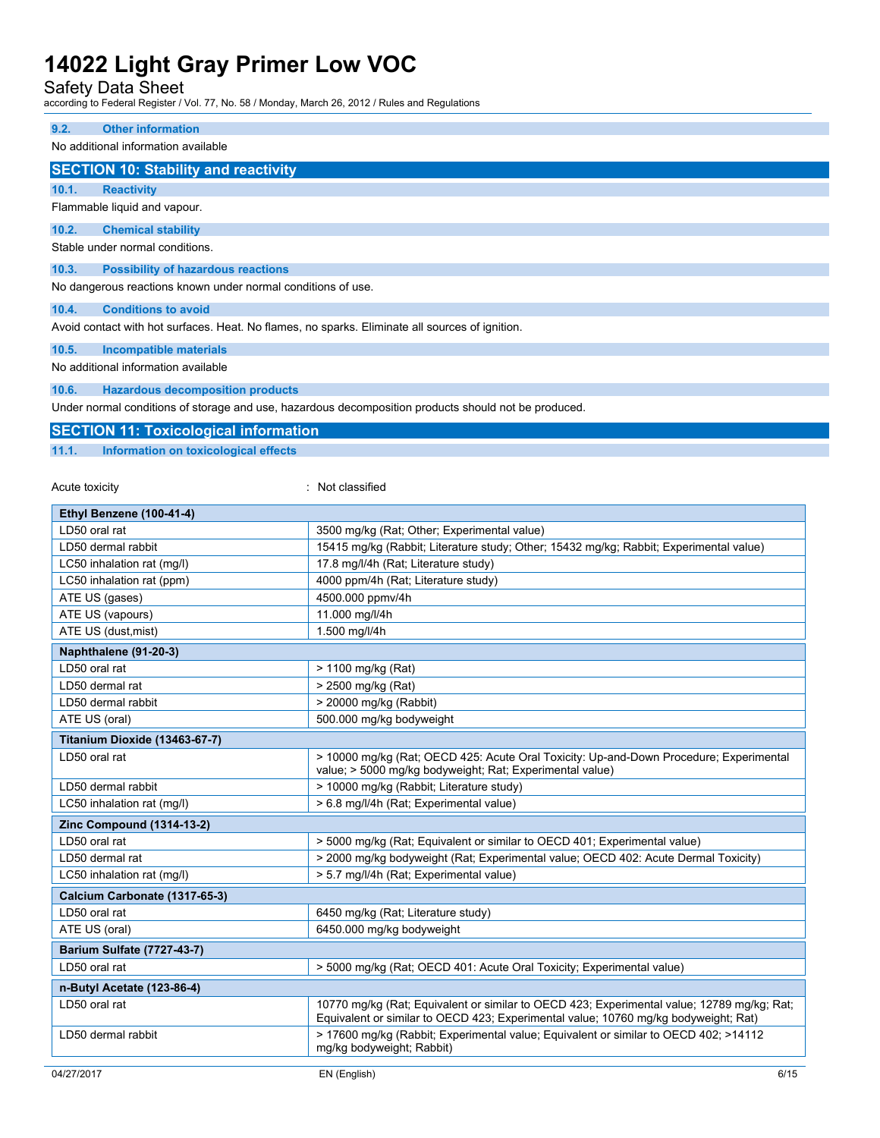Safety Data Sheet

according to Federal Register / Vol. 77, No. 58 / Monday, March 26, 2012 / Rules and Regulations

#### **9.2. Other information**

No additional information available

#### **SECTION 10: Stability and reactivity**

**10.1. Reactivity**

Flammable liquid and vapour.

**10.2. Chemical stability**

Stable under normal conditions.

#### **10.3. Possibility of hazardous reactions**

No dangerous reactions known under normal conditions of use.

#### **10.4. Conditions to avoid**

Avoid contact with hot surfaces. Heat. No flames, no sparks. Eliminate all sources of ignition.

**10.5. Incompatible materials**

No additional information available

#### **10.6. Hazardous decomposition products**

Under normal conditions of storage and use, hazardous decomposition products should not be produced.

|       | <b>SECTION 11: Toxicological information</b> |  |  |
|-------|----------------------------------------------|--|--|
| 11.1. | Information on toxicological effects         |  |  |

#### Acute toxicity in the contract of the contract of the contract of the contract of the contract of the contract of the contract of the contract of the contract of the contract of the contract of the contract of the contract

| Ethyl Benzene (100-41-4)          |                                                                                                                                                                                   |
|-----------------------------------|-----------------------------------------------------------------------------------------------------------------------------------------------------------------------------------|
| LD50 oral rat                     | 3500 mg/kg (Rat; Other; Experimental value)                                                                                                                                       |
| LD50 dermal rabbit                | 15415 mg/kg (Rabbit; Literature study; Other; 15432 mg/kg; Rabbit; Experimental value)                                                                                            |
| LC50 inhalation rat (mq/l)        | 17.8 mg/l/4h (Rat; Literature study)                                                                                                                                              |
| LC50 inhalation rat (ppm)         | 4000 ppm/4h (Rat; Literature study)                                                                                                                                               |
| ATE US (gases)                    | 4500.000 ppmv/4h                                                                                                                                                                  |
| ATE US (vapours)                  | 11.000 mg/l/4h                                                                                                                                                                    |
| ATE US (dust, mist)               | 1.500 mg/l/4h                                                                                                                                                                     |
| Naphthalene (91-20-3)             |                                                                                                                                                                                   |
| LD50 oral rat                     | > 1100 mg/kg (Rat)                                                                                                                                                                |
| LD50 dermal rat                   | > 2500 mg/kg (Rat)                                                                                                                                                                |
| LD50 dermal rabbit                | > 20000 mg/kg (Rabbit)                                                                                                                                                            |
| ATE US (oral)                     | 500.000 mg/kg bodyweight                                                                                                                                                          |
| Titanium Dioxide (13463-67-7)     |                                                                                                                                                                                   |
| LD50 oral rat                     | > 10000 mg/kg (Rat: OECD 425: Acute Oral Toxicity: Up-and-Down Procedure: Experimental<br>value; > 5000 mg/kg bodyweight; Rat; Experimental value)                                |
| LD50 dermal rabbit                | > 10000 mg/kg (Rabbit; Literature study)                                                                                                                                          |
| LC50 inhalation rat (mg/l)        | > 6.8 mg/l/4h (Rat; Experimental value)                                                                                                                                           |
| <b>Zinc Compound (1314-13-2)</b>  |                                                                                                                                                                                   |
| LD50 oral rat                     | > 5000 mg/kg (Rat; Equivalent or similar to OECD 401; Experimental value)                                                                                                         |
| LD50 dermal rat                   | > 2000 mg/kg bodyweight (Rat; Experimental value; OECD 402: Acute Dermal Toxicity)                                                                                                |
| LC50 inhalation rat (mg/l)        | > 5.7 mg/l/4h (Rat; Experimental value)                                                                                                                                           |
| Calcium Carbonate (1317-65-3)     |                                                                                                                                                                                   |
| LD50 oral rat                     | 6450 mg/kg (Rat; Literature study)                                                                                                                                                |
| ATE US (oral)                     | 6450.000 mg/kg bodyweight                                                                                                                                                         |
| <b>Barium Sulfate (7727-43-7)</b> |                                                                                                                                                                                   |
| LD50 oral rat                     | > 5000 mg/kg (Rat; OECD 401: Acute Oral Toxicity; Experimental value)                                                                                                             |
| n-Butyl Acetate (123-86-4)        |                                                                                                                                                                                   |
| LD50 oral rat                     | 10770 mg/kg (Rat; Equivalent or similar to OECD 423; Experimental value; 12789 mg/kg; Rat;<br>Equivalent or similar to OECD 423; Experimental value; 10760 mg/kg bodyweight; Rat) |
| LD50 dermal rabbit                | > 17600 mg/kg (Rabbit; Experimental value; Equivalent or similar to OECD 402; >14112<br>mg/kg bodyweight; Rabbit)                                                                 |
|                                   |                                                                                                                                                                                   |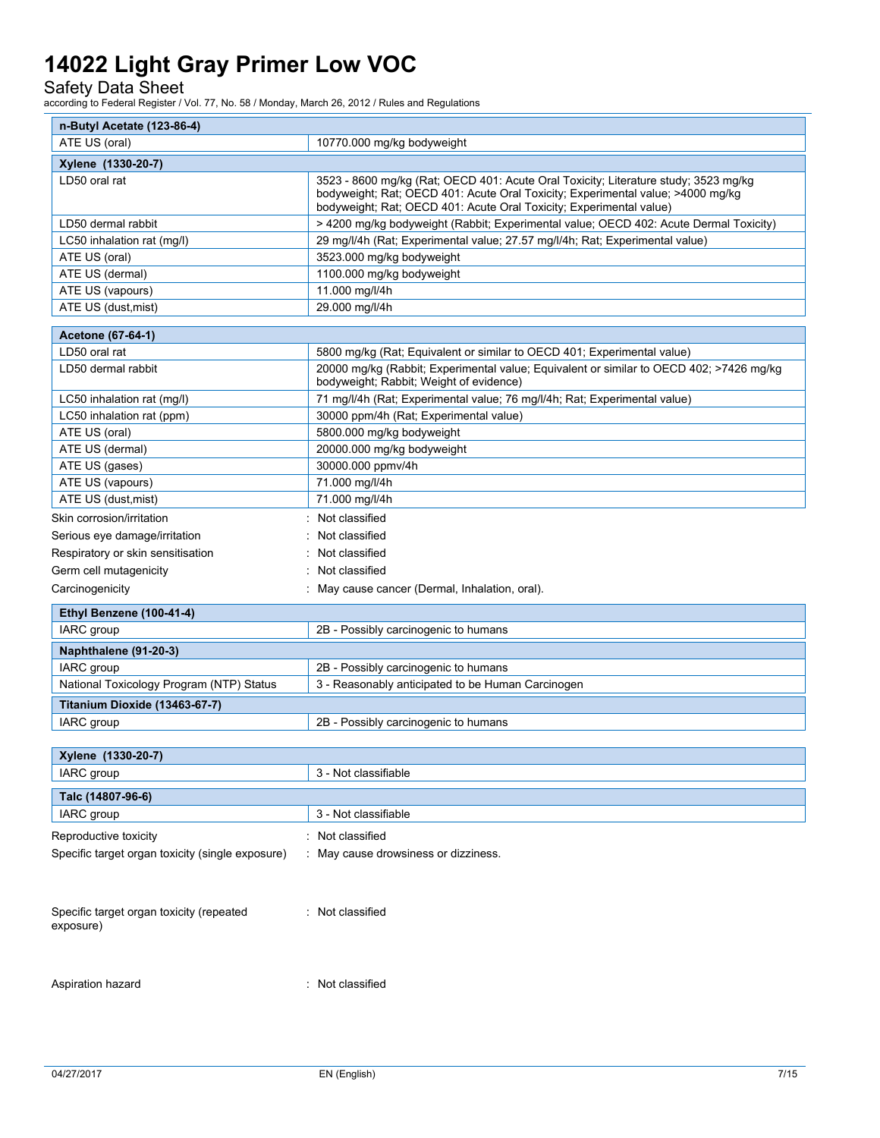Safety Data Sheet

according to Federal Register / Vol. 77, No. 58 / Monday, March 26, 2012 / Rules and Regulations

| n-Butyl Acetate (123-86-4)                            |                                                                                                                                                                                                                                               |  |  |
|-------------------------------------------------------|-----------------------------------------------------------------------------------------------------------------------------------------------------------------------------------------------------------------------------------------------|--|--|
| ATE US (oral)                                         | 10770.000 mg/kg bodyweight                                                                                                                                                                                                                    |  |  |
| Xylene (1330-20-7)                                    |                                                                                                                                                                                                                                               |  |  |
| LD50 oral rat                                         | 3523 - 8600 mg/kg (Rat; OECD 401: Acute Oral Toxicity; Literature study; 3523 mg/kg<br>bodyweight; Rat; OECD 401: Acute Oral Toxicity; Experimental value; >4000 mg/kg<br>bodyweight; Rat; OECD 401: Acute Oral Toxicity; Experimental value) |  |  |
| LD50 dermal rabbit                                    | > 4200 mg/kg bodyweight (Rabbit; Experimental value; OECD 402: Acute Dermal Toxicity)                                                                                                                                                         |  |  |
| LC50 inhalation rat (mg/l)                            | 29 mg/l/4h (Rat; Experimental value; 27.57 mg/l/4h; Rat; Experimental value)                                                                                                                                                                  |  |  |
| ATE US (oral)                                         | 3523.000 mg/kg bodyweight                                                                                                                                                                                                                     |  |  |
| ATE US (dermal)                                       | 1100.000 mg/kg bodyweight                                                                                                                                                                                                                     |  |  |
| ATE US (vapours)                                      | 11.000 mg/l/4h                                                                                                                                                                                                                                |  |  |
| ATE US (dust, mist)                                   | 29.000 mg/l/4h                                                                                                                                                                                                                                |  |  |
| Acetone (67-64-1)                                     |                                                                                                                                                                                                                                               |  |  |
| LD50 oral rat                                         | 5800 mg/kg (Rat; Equivalent or similar to OECD 401; Experimental value)                                                                                                                                                                       |  |  |
| LD50 dermal rabbit                                    | 20000 mg/kg (Rabbit; Experimental value; Equivalent or similar to OECD 402; >7426 mg/kg<br>bodyweight; Rabbit; Weight of evidence)                                                                                                            |  |  |
| LC50 inhalation rat (mg/l)                            | 71 mg/l/4h (Rat; Experimental value; 76 mg/l/4h; Rat; Experimental value)                                                                                                                                                                     |  |  |
| LC50 inhalation rat (ppm)                             | 30000 ppm/4h (Rat; Experimental value)                                                                                                                                                                                                        |  |  |
| ATE US (oral)                                         | 5800.000 mg/kg bodyweight                                                                                                                                                                                                                     |  |  |
| ATE US (dermal)                                       | 20000.000 mg/kg bodyweight                                                                                                                                                                                                                    |  |  |
| ATE US (gases)                                        | 30000.000 ppmv/4h                                                                                                                                                                                                                             |  |  |
| ATE US (vapours)                                      | 71.000 mg/l/4h                                                                                                                                                                                                                                |  |  |
| ATE US (dust, mist)                                   | 71.000 mg/l/4h                                                                                                                                                                                                                                |  |  |
| Skin corrosion/irritation                             | : Not classified                                                                                                                                                                                                                              |  |  |
| Serious eye damage/irritation                         | Not classified                                                                                                                                                                                                                                |  |  |
| Respiratory or skin sensitisation                     | Not classified                                                                                                                                                                                                                                |  |  |
| Germ cell mutagenicity                                | : Not classified                                                                                                                                                                                                                              |  |  |
| Carcinogenicity                                       | : May cause cancer (Dermal, Inhalation, oral).                                                                                                                                                                                                |  |  |
| Ethyl Benzene (100-41-4)                              |                                                                                                                                                                                                                                               |  |  |
| IARC group                                            | 2B - Possibly carcinogenic to humans                                                                                                                                                                                                          |  |  |
| Naphthalene (91-20-3)                                 |                                                                                                                                                                                                                                               |  |  |
| IARC group                                            | 2B - Possibly carcinogenic to humans                                                                                                                                                                                                          |  |  |
| National Toxicology Program (NTP) Status              | 3 - Reasonably anticipated to be Human Carcinogen                                                                                                                                                                                             |  |  |
|                                                       |                                                                                                                                                                                                                                               |  |  |
| Titanium Dioxide (13463-67-7)                         |                                                                                                                                                                                                                                               |  |  |
| IARC group                                            | 2B - Possibly carcinogenic to humans                                                                                                                                                                                                          |  |  |
| Xylene (1330-20-7)                                    |                                                                                                                                                                                                                                               |  |  |
| IARC group                                            | 3 - Not classifiable                                                                                                                                                                                                                          |  |  |
|                                                       |                                                                                                                                                                                                                                               |  |  |
| Talc (14807-96-6)<br>IARC group                       | 3 - Not classifiable                                                                                                                                                                                                                          |  |  |
|                                                       |                                                                                                                                                                                                                                               |  |  |
| Reproductive toxicity                                 | Not classified                                                                                                                                                                                                                                |  |  |
| Specific target organ toxicity (single exposure)      | May cause drowsiness or dizziness.                                                                                                                                                                                                            |  |  |
| Specific target organ toxicity (repeated<br>exposure) | : Not classified                                                                                                                                                                                                                              |  |  |

Aspiration hazard is a set of the set of the set of the set of the set of the set of the set of the set of the set of the set of the set of the set of the set of the set of the set of the set of the set of the set of the s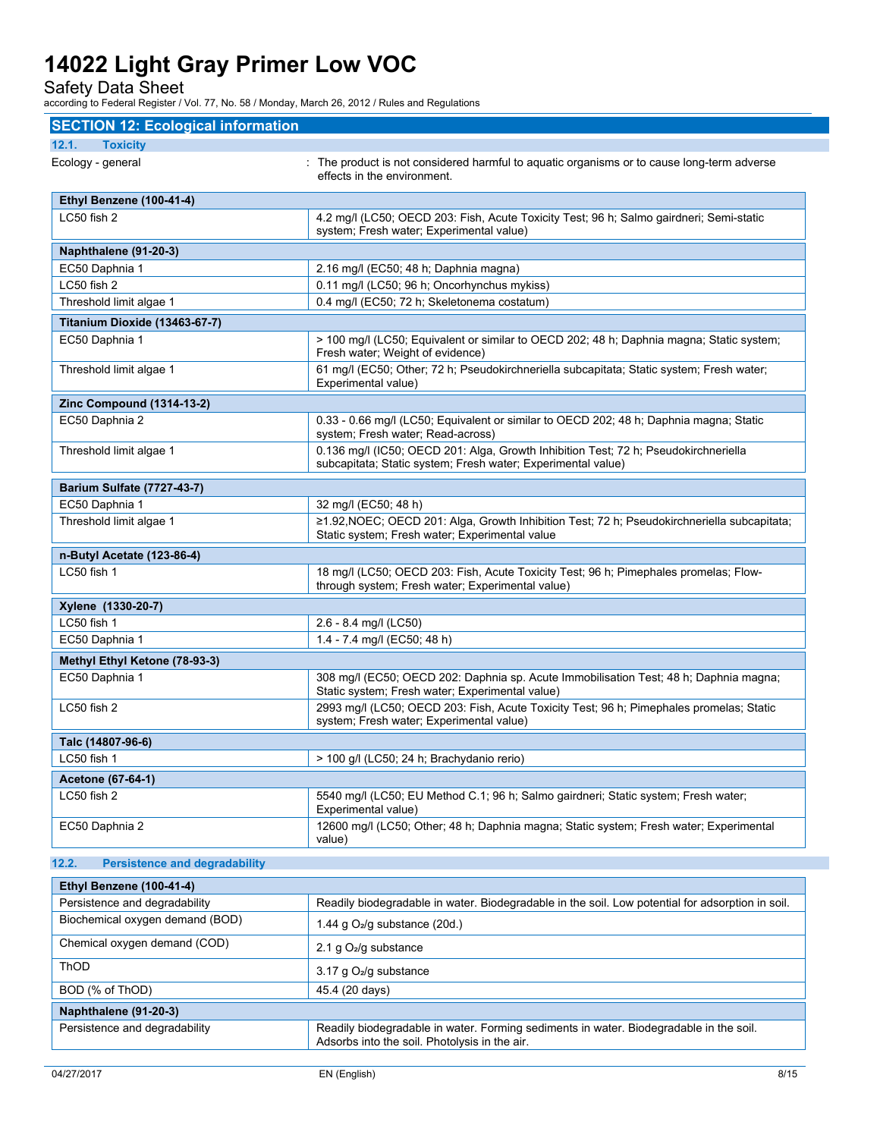Safety Data Sheet

according to Federal Register / Vol. 77, No. 58 / Monday, March 26, 2012 / Rules and Regulations

| <b>SECTION 12: Ecological information</b>     |                                                                                                                                                     |  |
|-----------------------------------------------|-----------------------------------------------------------------------------------------------------------------------------------------------------|--|
| 12.1.<br><b>Toxicity</b>                      |                                                                                                                                                     |  |
| Ecology - general                             | : The product is not considered harmful to aquatic organisms or to cause long-term adverse<br>effects in the environment.                           |  |
| Ethyl Benzene (100-41-4)                      |                                                                                                                                                     |  |
| LC50 fish 2                                   | 4.2 mg/l (LC50; OECD 203: Fish, Acute Toxicity Test; 96 h; Salmo gairdneri; Semi-static<br>system; Fresh water; Experimental value)                 |  |
| Naphthalene (91-20-3)                         |                                                                                                                                                     |  |
| EC50 Daphnia 1                                | 2.16 mg/l (EC50; 48 h; Daphnia magna)                                                                                                               |  |
| LC50 fish 2                                   | 0.11 mg/l (LC50; 96 h; Oncorhynchus mykiss)                                                                                                         |  |
| Threshold limit algae 1                       | 0.4 mg/l (EC50; 72 h; Skeletonema costatum)                                                                                                         |  |
| Titanium Dioxide (13463-67-7)                 |                                                                                                                                                     |  |
| EC50 Daphnia 1                                | > 100 mg/l (LC50; Equivalent or similar to OECD 202; 48 h; Daphnia magna; Static system;<br>Fresh water; Weight of evidence)                        |  |
| Threshold limit algae 1                       | 61 mg/l (EC50; Other; 72 h; Pseudokirchneriella subcapitata; Static system; Fresh water;<br>Experimental value)                                     |  |
| <b>Zinc Compound (1314-13-2)</b>              |                                                                                                                                                     |  |
| EC50 Daphnia 2                                | 0.33 - 0.66 mg/l (LC50; Equivalent or similar to OECD 202; 48 h; Daphnia magna; Static<br>system; Fresh water; Read-across)                         |  |
| Threshold limit algae 1                       | 0.136 mg/l (IC50; OECD 201: Alga, Growth Inhibition Test; 72 h; Pseudokirchneriella<br>subcapitata; Static system; Fresh water; Experimental value) |  |
| <b>Barium Sulfate (7727-43-7)</b>             |                                                                                                                                                     |  |
| EC50 Daphnia 1                                | 32 mg/l (EC50; 48 h)                                                                                                                                |  |
| Threshold limit algae 1                       | ≥1.92, NOEC; OECD 201: Alga, Growth Inhibition Test; 72 h; Pseudokirchneriella subcapitata;<br>Static system; Fresh water; Experimental value       |  |
| n-Butyl Acetate (123-86-4)                    |                                                                                                                                                     |  |
| LC50 fish 1                                   | 18 mg/l (LC50; OECD 203: Fish, Acute Toxicity Test; 96 h; Pimephales promelas; Flow-<br>through system; Fresh water; Experimental value)            |  |
| Xylene (1330-20-7)                            |                                                                                                                                                     |  |
| LC50 fish 1                                   | 2.6 - 8.4 mg/l (LC50)                                                                                                                               |  |
| EC50 Daphnia 1                                | 1.4 - 7.4 mg/l (EC50; 48 h)                                                                                                                         |  |
| Methyl Ethyl Ketone (78-93-3)                 |                                                                                                                                                     |  |
| EC50 Daphnia 1                                | 308 mg/l (EC50; OECD 202: Daphnia sp. Acute Immobilisation Test; 48 h; Daphnia magna;<br>Static system; Fresh water; Experimental value)            |  |
| LC50 fish 2                                   | 2993 mg/l (LC50; OECD 203: Fish, Acute Toxicity Test; 96 h; Pimephales promelas; Static<br>system; Fresh water; Experimental value)                 |  |
| Talc (14807-96-6)                             |                                                                                                                                                     |  |
| LC50 fish 1                                   | > 100 g/l (LC50; 24 h; Brachydanio rerio)                                                                                                           |  |
| Acetone (67-64-1)                             |                                                                                                                                                     |  |
| LC50 fish 2                                   | 5540 mg/l (LC50; EU Method C.1; 96 h; Salmo gairdneri; Static system; Fresh water;<br>Experimental value)                                           |  |
| EC50 Daphnia 2                                | 12600 mg/l (LC50; Other; 48 h; Daphnia magna; Static system; Fresh water; Experimental<br>value)                                                    |  |
| <b>Persistence and degradability</b><br>12.2. |                                                                                                                                                     |  |
| Ethyl Benzene (100-41-4)                      |                                                                                                                                                     |  |
| Persistence and degradability                 | Readily biodegradable in water. Biodegradable in the soil. Low potential for adsorption in soil.                                                    |  |
| Biochemical oxygen demand (BOD)               | 1.44 g $O_2$ /g substance (20d.)                                                                                                                    |  |
| Chemical oxygen demand (COD)<br>ThOD          | 2.1 g $O2/g$ substance                                                                                                                              |  |
|                                               | 3.17 g O <sub>2</sub> /g substance                                                                                                                  |  |
| BOD (% of ThOD)                               | 45.4 (20 days)                                                                                                                                      |  |
| Naphthalene (91-20-3)                         |                                                                                                                                                     |  |

Persistence and degradability **Readily biodegradable in water. Forming sediments in water. Biodegradable in the soil.** Adsorbs into the soil. Photolysis in the air.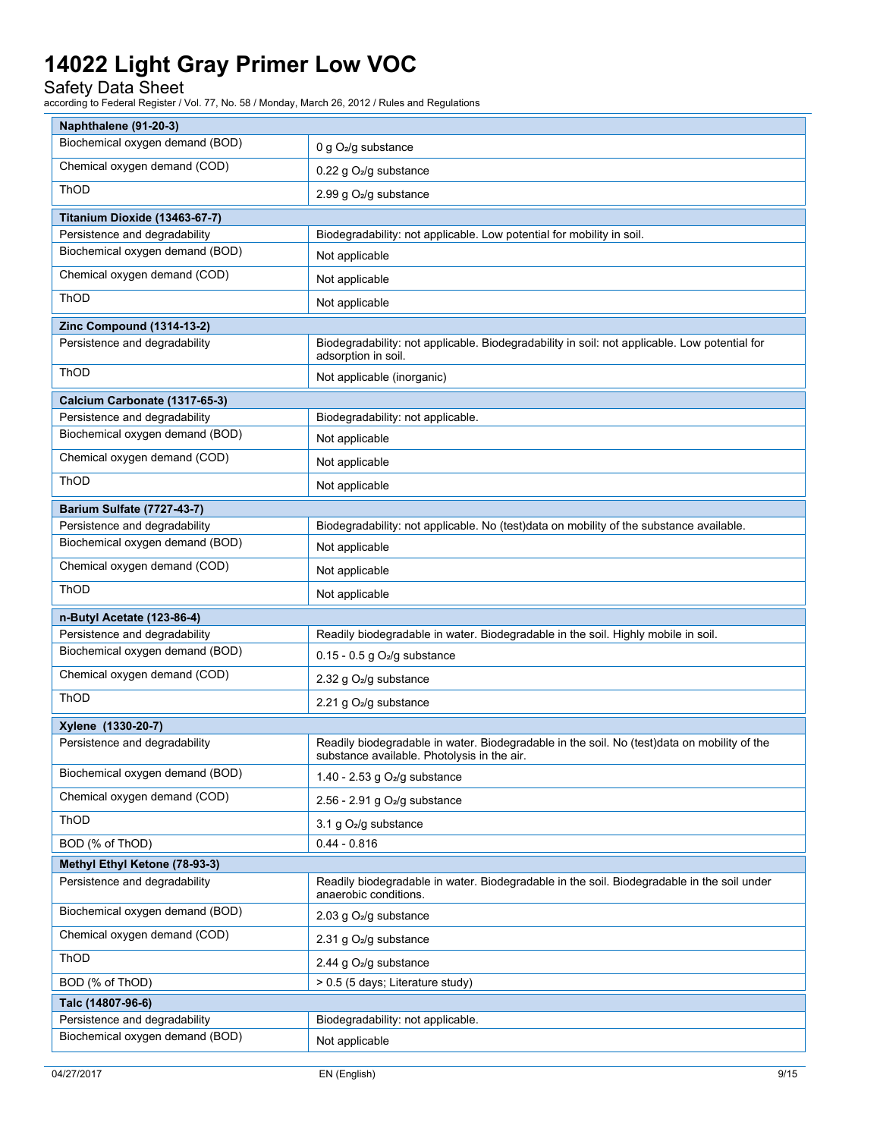### Safety Data Sheet

| Naphthalene (91-20-3)             |                                                                                                                                            |  |
|-----------------------------------|--------------------------------------------------------------------------------------------------------------------------------------------|--|
| Biochemical oxygen demand (BOD)   | 0 g O <sub>2</sub> /g substance                                                                                                            |  |
| Chemical oxygen demand (COD)      | 0.22 g $O2/g$ substance                                                                                                                    |  |
| ThOD                              | 2.99 g O <sub>2</sub> /g substance                                                                                                         |  |
| Titanium Dioxide (13463-67-7)     |                                                                                                                                            |  |
| Persistence and degradability     | Biodegradability: not applicable. Low potential for mobility in soil.                                                                      |  |
| Biochemical oxygen demand (BOD)   | Not applicable                                                                                                                             |  |
| Chemical oxygen demand (COD)      | Not applicable                                                                                                                             |  |
| ThOD                              | Not applicable                                                                                                                             |  |
| <b>Zinc Compound (1314-13-2)</b>  |                                                                                                                                            |  |
| Persistence and degradability     | Biodegradability: not applicable. Biodegradability in soil: not applicable. Low potential for<br>adsorption in soil.                       |  |
| ThOD                              | Not applicable (inorganic)                                                                                                                 |  |
| Calcium Carbonate (1317-65-3)     |                                                                                                                                            |  |
| Persistence and degradability     | Biodegradability: not applicable.                                                                                                          |  |
| Biochemical oxygen demand (BOD)   | Not applicable                                                                                                                             |  |
| Chemical oxygen demand (COD)      | Not applicable                                                                                                                             |  |
| ThOD                              | Not applicable                                                                                                                             |  |
| <b>Barium Sulfate (7727-43-7)</b> |                                                                                                                                            |  |
| Persistence and degradability     | Biodegradability: not applicable. No (test)data on mobility of the substance available.                                                    |  |
| Biochemical oxygen demand (BOD)   | Not applicable                                                                                                                             |  |
| Chemical oxygen demand (COD)      | Not applicable                                                                                                                             |  |
| ThOD                              | Not applicable                                                                                                                             |  |
| n-Butyl Acetate (123-86-4)        |                                                                                                                                            |  |
| Persistence and degradability     | Readily biodegradable in water. Biodegradable in the soil. Highly mobile in soil.                                                          |  |
| Biochemical oxygen demand (BOD)   | $0.15 - 0.5$ g $O2/g$ substance                                                                                                            |  |
| Chemical oxygen demand (COD)      | 2.32 g O <sub>2</sub> /g substance                                                                                                         |  |
| ThOD                              | 2.21 g O <sub>2</sub> /g substance                                                                                                         |  |
| Xylene (1330-20-7)                |                                                                                                                                            |  |
| Persistence and degradability     | Readily biodegradable in water. Biodegradable in the soil. No (test)data on mobility of the<br>substance available. Photolysis in the air. |  |
| Biochemical oxygen demand (BOD)   | 1.40 - 2.53 g $O2/g$ substance                                                                                                             |  |
| Chemical oxygen demand (COD)      | 2.56 - 2.91 g $O2/g$ substance                                                                                                             |  |
| ThOD                              | 3.1 g $O2/g$ substance                                                                                                                     |  |
| BOD (% of ThOD)                   | $0.44 - 0.816$                                                                                                                             |  |
| Methyl Ethyl Ketone (78-93-3)     |                                                                                                                                            |  |
| Persistence and degradability     | Readily biodegradable in water. Biodegradable in the soil. Biodegradable in the soil under<br>anaerobic conditions.                        |  |
| Biochemical oxygen demand (BOD)   | 2.03 g O <sub>2</sub> /g substance                                                                                                         |  |
| Chemical oxygen demand (COD)      | 2.31 g O <sub>2</sub> /g substance                                                                                                         |  |
| ThOD                              | 2.44 g O <sub>2</sub> /g substance                                                                                                         |  |
| BOD (% of ThOD)                   | > 0.5 (5 days; Literature study)                                                                                                           |  |
| Talc (14807-96-6)                 |                                                                                                                                            |  |
| Persistence and degradability     | Biodegradability: not applicable.                                                                                                          |  |
| Biochemical oxygen demand (BOD)   | Not applicable                                                                                                                             |  |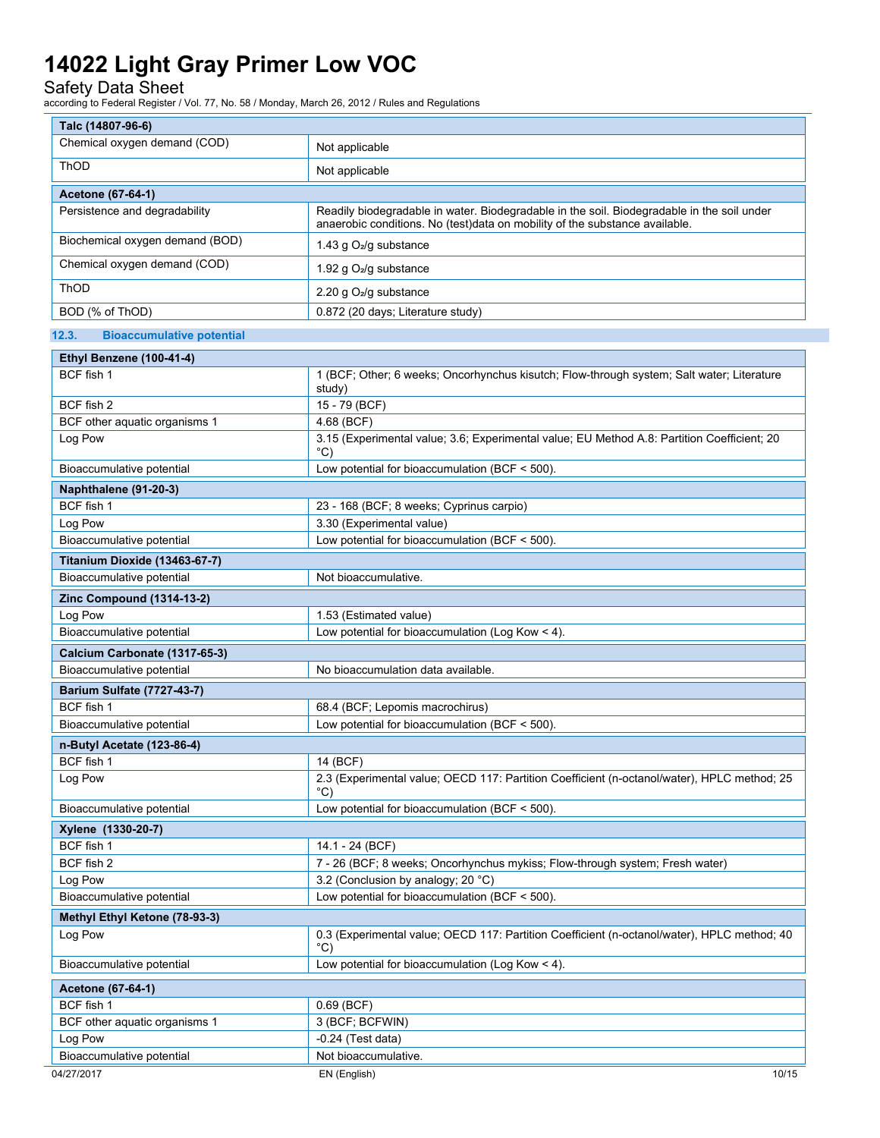Safety Data Sheet

| Talc (14807-96-6)                               |                                                                                                                                                                           |  |  |
|-------------------------------------------------|---------------------------------------------------------------------------------------------------------------------------------------------------------------------------|--|--|
| Chemical oxygen demand (COD)                    | Not applicable                                                                                                                                                            |  |  |
| ThOD                                            | Not applicable                                                                                                                                                            |  |  |
| <b>Acetone (67-64-1)</b>                        |                                                                                                                                                                           |  |  |
| Persistence and degradability                   | Readily biodegradable in water. Biodegradable in the soil. Biodegradable in the soil under<br>anaerobic conditions. No (test)data on mobility of the substance available. |  |  |
| Biochemical oxygen demand (BOD)                 | 1.43 g O <sub>2</sub> /g substance                                                                                                                                        |  |  |
| Chemical oxygen demand (COD)                    | 1.92 g O <sub>2</sub> /g substance                                                                                                                                        |  |  |
| ThOD                                            | 2.20 g O <sub>2</sub> /g substance                                                                                                                                        |  |  |
| BOD (% of ThOD)                                 | 0.872 (20 days; Literature study)                                                                                                                                         |  |  |
| 12.3.<br><b>Bioaccumulative potential</b>       |                                                                                                                                                                           |  |  |
| Ethyl Benzene (100-41-4)                        |                                                                                                                                                                           |  |  |
| BCF fish 1                                      | 1 (BCF; Other; 6 weeks; Oncorhynchus kisutch; Flow-through system; Salt water; Literature<br>study)                                                                       |  |  |
| BCF fish 2                                      | 15 - 79 (BCF)                                                                                                                                                             |  |  |
| BCF other aquatic organisms 1                   | 4.68 (BCF)                                                                                                                                                                |  |  |
| Log Pow                                         | 3.15 (Experimental value; 3.6; Experimental value; EU Method A.8: Partition Coefficient; 20<br>$^{\circ}$ C)                                                              |  |  |
| Bioaccumulative potential                       | Low potential for bioaccumulation (BCF $<$ 500).                                                                                                                          |  |  |
| Naphthalene (91-20-3)                           |                                                                                                                                                                           |  |  |
| BCF fish 1                                      | 23 - 168 (BCF; 8 weeks; Cyprinus carpio)                                                                                                                                  |  |  |
| Log Pow                                         | 3.30 (Experimental value)                                                                                                                                                 |  |  |
| Bioaccumulative potential                       | Low potential for bioaccumulation (BCF $<$ 500).                                                                                                                          |  |  |
| Titanium Dioxide (13463-67-7)                   |                                                                                                                                                                           |  |  |
| Bioaccumulative potential                       | Not bioaccumulative.                                                                                                                                                      |  |  |
| <b>Zinc Compound (1314-13-2)</b>                |                                                                                                                                                                           |  |  |
| Log Pow                                         | 1.53 (Estimated value)                                                                                                                                                    |  |  |
| Bioaccumulative potential                       | Low potential for bioaccumulation (Log Kow $<$ 4).                                                                                                                        |  |  |
| Calcium Carbonate (1317-65-3)                   |                                                                                                                                                                           |  |  |
| Bioaccumulative potential                       | No bioaccumulation data available.                                                                                                                                        |  |  |
| <b>Barium Sulfate (7727-43-7)</b><br>BCF fish 1 |                                                                                                                                                                           |  |  |
| Bioaccumulative potential                       | 68.4 (BCF; Lepomis macrochirus)<br>Low potential for bioaccumulation (BCF $<$ 500).                                                                                       |  |  |
|                                                 |                                                                                                                                                                           |  |  |
| n-Butyl Acetate (123-86-4)<br>BCF fish 1        | 14 (BCF)                                                                                                                                                                  |  |  |
| Log Pow                                         | 2.3 (Experimental value; OECD 117: Partition Coefficient (n-octanol/water), HPLC method; 25<br>°C)                                                                        |  |  |
| Bioaccumulative potential                       | Low potential for bioaccumulation (BCF $<$ 500).                                                                                                                          |  |  |
| Xylene (1330-20-7)                              |                                                                                                                                                                           |  |  |
| BCF fish 1                                      | 14.1 - 24 (BCF)                                                                                                                                                           |  |  |
| BCF fish 2                                      | 7 - 26 (BCF; 8 weeks; Oncorhynchus mykiss; Flow-through system; Fresh water)                                                                                              |  |  |
| Log Pow                                         | 3.2 (Conclusion by analogy; 20 °C)                                                                                                                                        |  |  |
| Bioaccumulative potential                       | Low potential for bioaccumulation (BCF < 500).                                                                                                                            |  |  |
| Methyl Ethyl Ketone (78-93-3)                   |                                                                                                                                                                           |  |  |
| Log Pow                                         | 0.3 (Experimental value; OECD 117: Partition Coefficient (n-octanol/water), HPLC method; 40<br>$^{\circ}$ C)                                                              |  |  |
| Bioaccumulative potential                       | Low potential for bioaccumulation (Log Kow $<$ 4).                                                                                                                        |  |  |
| Acetone (67-64-1)                               |                                                                                                                                                                           |  |  |
| BCF fish 1                                      | $0.69$ (BCF)                                                                                                                                                              |  |  |
| BCF other aquatic organisms 1                   | 3 (BCF; BCFWIN)                                                                                                                                                           |  |  |
| Log Pow                                         | $-0.24$ (Test data)                                                                                                                                                       |  |  |
| Bioaccumulative potential                       | Not bioaccumulative.                                                                                                                                                      |  |  |
| 04/27/2017                                      | EN (English)<br>10/15                                                                                                                                                     |  |  |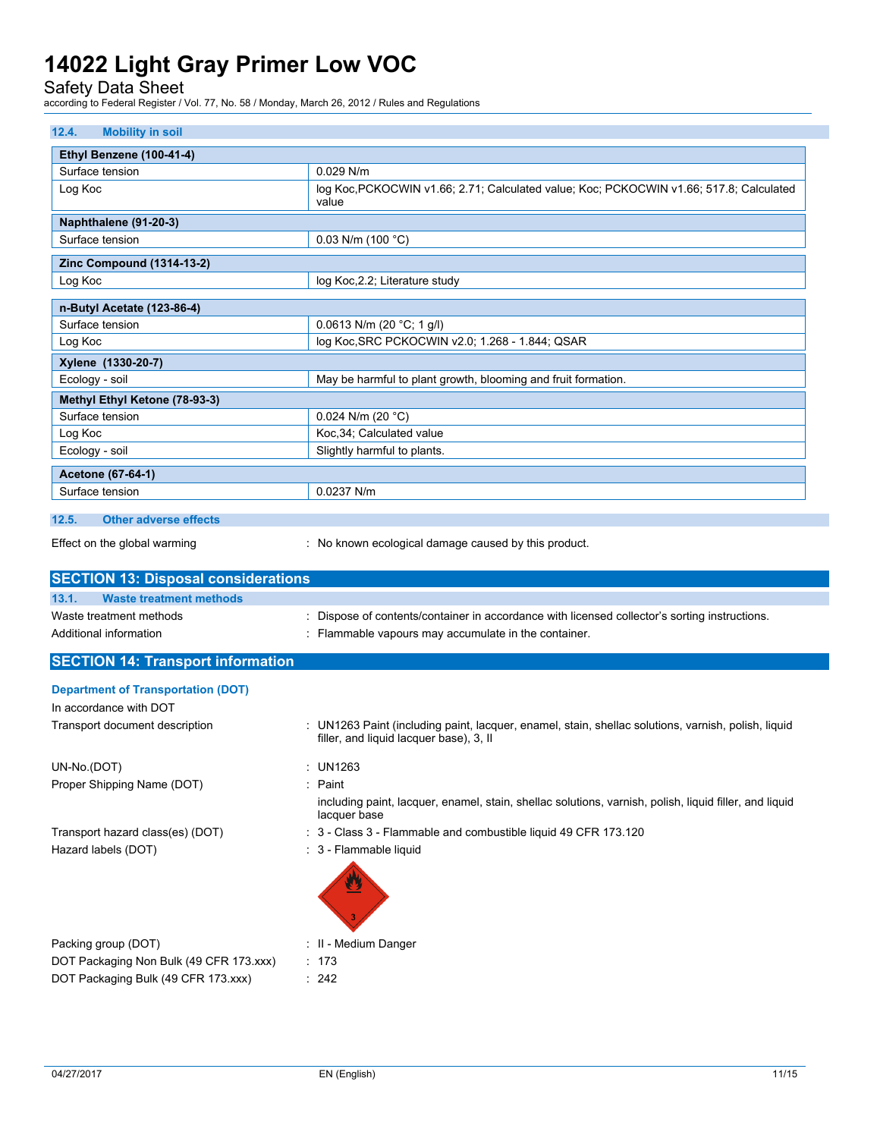Safety Data Sheet

| 12.4.<br><b>Mobility in soil</b>                                                                                                                  |                                                                                                                                                |  |  |
|---------------------------------------------------------------------------------------------------------------------------------------------------|------------------------------------------------------------------------------------------------------------------------------------------------|--|--|
| Ethyl Benzene (100-41-4)                                                                                                                          |                                                                                                                                                |  |  |
| Surface tension                                                                                                                                   | $0.029$ N/m                                                                                                                                    |  |  |
| Log Koc                                                                                                                                           | log Koc, PCKOCWIN v1.66; 2.71; Calculated value; Koc; PCKOCWIN v1.66; 517.8; Calculated                                                        |  |  |
|                                                                                                                                                   | value                                                                                                                                          |  |  |
| Naphthalene (91-20-3)                                                                                                                             |                                                                                                                                                |  |  |
| Surface tension                                                                                                                                   | 0.03 N/m (100 $^{\circ}$ C)                                                                                                                    |  |  |
| <b>Zinc Compound (1314-13-2)</b>                                                                                                                  |                                                                                                                                                |  |  |
| Log Koc                                                                                                                                           | log Koc, 2.2; Literature study                                                                                                                 |  |  |
| n-Butyl Acetate (123-86-4)                                                                                                                        |                                                                                                                                                |  |  |
| Surface tension                                                                                                                                   | 0.0613 N/m (20 $^{\circ}$ C; 1 g/l)                                                                                                            |  |  |
| Log Koc                                                                                                                                           | log Koc, SRC PCKOCWIN v2.0; 1.268 - 1.844; QSAR                                                                                                |  |  |
|                                                                                                                                                   |                                                                                                                                                |  |  |
| Xylene (1330-20-7)<br>Ecology - soil                                                                                                              | May be harmful to plant growth, blooming and fruit formation.                                                                                  |  |  |
|                                                                                                                                                   |                                                                                                                                                |  |  |
| Methyl Ethyl Ketone (78-93-3)                                                                                                                     |                                                                                                                                                |  |  |
| Surface tension                                                                                                                                   | 0.024 N/m (20 $°C$ )<br>Koc, 34; Calculated value                                                                                              |  |  |
| Log Koc<br>Ecology - soil                                                                                                                         | Slightly harmful to plants.                                                                                                                    |  |  |
|                                                                                                                                                   |                                                                                                                                                |  |  |
| Acetone (67-64-1)                                                                                                                                 |                                                                                                                                                |  |  |
| Surface tension                                                                                                                                   | 0.0237 N/m                                                                                                                                     |  |  |
| 12.5.<br><b>Other adverse effects</b>                                                                                                             |                                                                                                                                                |  |  |
|                                                                                                                                                   |                                                                                                                                                |  |  |
| Effect on the global warming                                                                                                                      | : No known ecological damage caused by this product.                                                                                           |  |  |
|                                                                                                                                                   |                                                                                                                                                |  |  |
|                                                                                                                                                   |                                                                                                                                                |  |  |
|                                                                                                                                                   |                                                                                                                                                |  |  |
| 13.1.<br><b>Waste treatment methods</b>                                                                                                           |                                                                                                                                                |  |  |
|                                                                                                                                                   | : Dispose of contents/container in accordance with licensed collector's sorting instructions.                                                  |  |  |
|                                                                                                                                                   | : Flammable vapours may accumulate in the container.                                                                                           |  |  |
|                                                                                                                                                   |                                                                                                                                                |  |  |
|                                                                                                                                                   |                                                                                                                                                |  |  |
| Waste treatment methods<br>Additional information<br><b>Department of Transportation (DOT)</b>                                                    |                                                                                                                                                |  |  |
| In accordance with DOT                                                                                                                            |                                                                                                                                                |  |  |
|                                                                                                                                                   | : UN1263 Paint (including paint, lacquer, enamel, stain, shellac solutions, varnish, polish, liquid<br>filler, and liquid lacquer base), 3, II |  |  |
|                                                                                                                                                   |                                                                                                                                                |  |  |
| UN-No.(DOT)                                                                                                                                       | : UN1263                                                                                                                                       |  |  |
|                                                                                                                                                   | : Paint                                                                                                                                        |  |  |
|                                                                                                                                                   | including paint, lacquer, enamel, stain, shellac solutions, varnish, polish, liquid filler, and liquid                                         |  |  |
|                                                                                                                                                   | lacquer base                                                                                                                                   |  |  |
| Transport document description<br>Proper Shipping Name (DOT)                                                                                      | : 3 - Class 3 - Flammable and combustible liquid 49 CFR 173.120                                                                                |  |  |
| <b>SECTION 13: Disposal considerations</b><br><b>SECTION 14: Transport information</b><br>Transport hazard class(es) (DOT)<br>Hazard labels (DOT) | : 3 - Flammable liquid                                                                                                                         |  |  |
|                                                                                                                                                   |                                                                                                                                                |  |  |
|                                                                                                                                                   |                                                                                                                                                |  |  |
|                                                                                                                                                   |                                                                                                                                                |  |  |
|                                                                                                                                                   |                                                                                                                                                |  |  |
| Packing group (DOT)                                                                                                                               | : II - Medium Danger                                                                                                                           |  |  |
| DOT Packaging Non Bulk (49 CFR 173.xxx)                                                                                                           | : 173                                                                                                                                          |  |  |
| DOT Packaging Bulk (49 CFR 173.xxx)                                                                                                               | : 242                                                                                                                                          |  |  |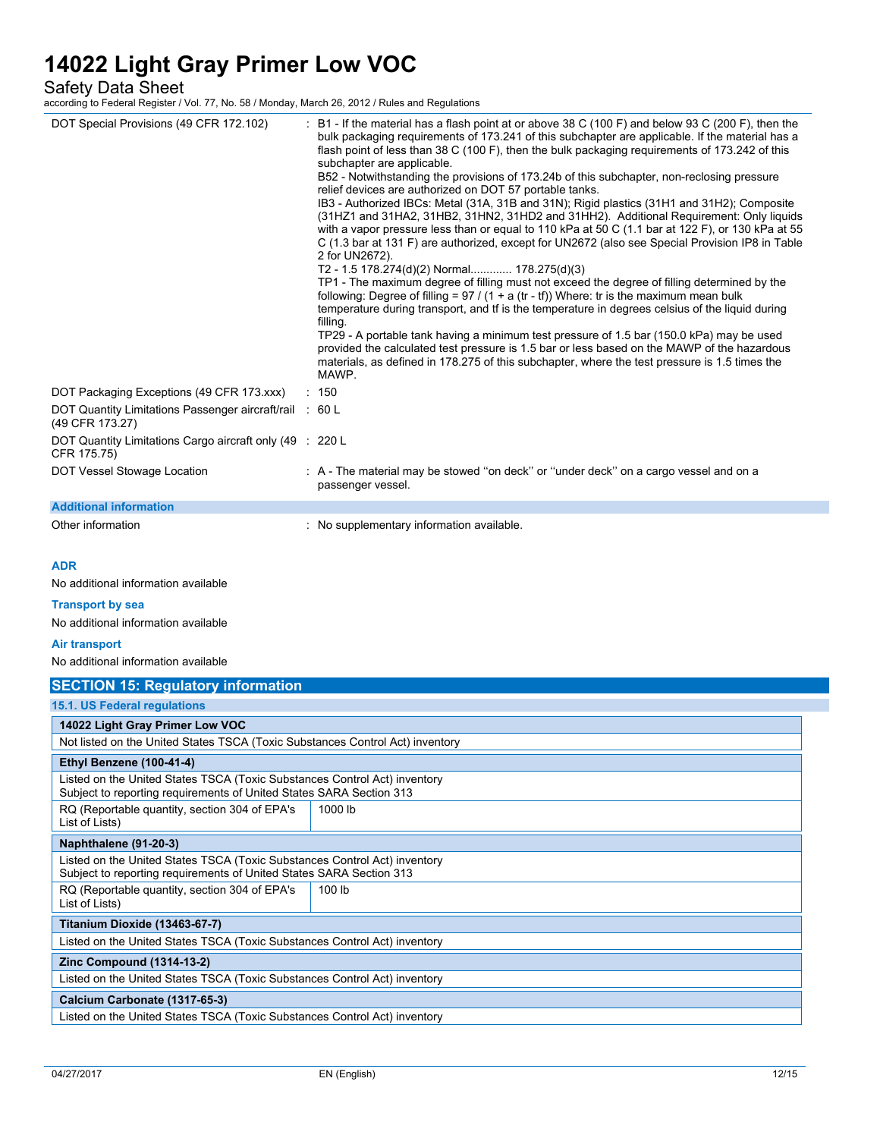Safety Data Sheet

| DOT Special Provisions (49 CFR 172.102)                                                                                                                                                                                  | $\pm$ B1 - If the material has a flash point at or above 38 C (100 F) and below 93 C (200 F), then the<br>bulk packaging requirements of 173.241 of this subchapter are applicable. If the material has a<br>flash point of less than 38 C (100 F), then the bulk packaging requirements of 173.242 of this<br>subchapter are applicable.<br>B52 - Notwithstanding the provisions of 173.24b of this subchapter, non-reclosing pressure<br>relief devices are authorized on DOT 57 portable tanks.<br>IB3 - Authorized IBCs: Metal (31A, 31B and 31N); Rigid plastics (31H1 and 31H2); Composite<br>(31HZ1 and 31HA2, 31HB2, 31HN2, 31HD2 and 31HH2). Additional Requirement: Only liquids<br>with a vapor pressure less than or equal to 110 kPa at 50 C (1.1 bar at 122 F), or 130 kPa at 55<br>C (1.3 bar at 131 F) are authorized, except for UN2672 (also see Special Provision IP8 in Table<br>2 for UN2672).<br>T2 - 1.5 178.274(d)(2) Normal 178.275(d)(3)<br>TP1 - The maximum degree of filling must not exceed the degree of filling determined by the<br>following: Degree of filling = $97 / (1 + a (tr - tf))$ Where: tr is the maximum mean bulk<br>temperature during transport, and if is the temperature in degrees celsius of the liquid during<br>filling.<br>TP29 - A portable tank having a minimum test pressure of 1.5 bar (150.0 kPa) may be used<br>provided the calculated test pressure is 1.5 bar or less based on the MAWP of the hazardous<br>materials, as defined in 178.275 of this subchapter, where the test pressure is 1.5 times the<br>MAWP. |  |  |
|--------------------------------------------------------------------------------------------------------------------------------------------------------------------------------------------------------------------------|-------------------------------------------------------------------------------------------------------------------------------------------------------------------------------------------------------------------------------------------------------------------------------------------------------------------------------------------------------------------------------------------------------------------------------------------------------------------------------------------------------------------------------------------------------------------------------------------------------------------------------------------------------------------------------------------------------------------------------------------------------------------------------------------------------------------------------------------------------------------------------------------------------------------------------------------------------------------------------------------------------------------------------------------------------------------------------------------------------------------------------------------------------------------------------------------------------------------------------------------------------------------------------------------------------------------------------------------------------------------------------------------------------------------------------------------------------------------------------------------------------------------------------------------------------------------------------------|--|--|
| DOT Packaging Exceptions (49 CFR 173.xxx)<br>DOT Quantity Limitations Passenger aircraft/rail : 60 L                                                                                                                     | : 150                                                                                                                                                                                                                                                                                                                                                                                                                                                                                                                                                                                                                                                                                                                                                                                                                                                                                                                                                                                                                                                                                                                                                                                                                                                                                                                                                                                                                                                                                                                                                                               |  |  |
| (49 CFR 173.27)<br>DOT Quantity Limitations Cargo aircraft only (49 : 220 L<br>CFR 175.75)                                                                                                                               |                                                                                                                                                                                                                                                                                                                                                                                                                                                                                                                                                                                                                                                                                                                                                                                                                                                                                                                                                                                                                                                                                                                                                                                                                                                                                                                                                                                                                                                                                                                                                                                     |  |  |
| DOT Vessel Stowage Location                                                                                                                                                                                              | : A - The material may be stowed "on deck" or "under deck" on a cargo vessel and on a<br>passenger vessel.                                                                                                                                                                                                                                                                                                                                                                                                                                                                                                                                                                                                                                                                                                                                                                                                                                                                                                                                                                                                                                                                                                                                                                                                                                                                                                                                                                                                                                                                          |  |  |
| <b>Additional information</b>                                                                                                                                                                                            |                                                                                                                                                                                                                                                                                                                                                                                                                                                                                                                                                                                                                                                                                                                                                                                                                                                                                                                                                                                                                                                                                                                                                                                                                                                                                                                                                                                                                                                                                                                                                                                     |  |  |
| Other information                                                                                                                                                                                                        | : No supplementary information available.                                                                                                                                                                                                                                                                                                                                                                                                                                                                                                                                                                                                                                                                                                                                                                                                                                                                                                                                                                                                                                                                                                                                                                                                                                                                                                                                                                                                                                                                                                                                           |  |  |
| <b>ADR</b><br>No additional information available<br><b>Transport by sea</b><br>No additional information available<br>Air transport<br>No additional information available<br><b>SECTION 15: Regulatory information</b> |                                                                                                                                                                                                                                                                                                                                                                                                                                                                                                                                                                                                                                                                                                                                                                                                                                                                                                                                                                                                                                                                                                                                                                                                                                                                                                                                                                                                                                                                                                                                                                                     |  |  |
| 15.1. US Federal regulations                                                                                                                                                                                             |                                                                                                                                                                                                                                                                                                                                                                                                                                                                                                                                                                                                                                                                                                                                                                                                                                                                                                                                                                                                                                                                                                                                                                                                                                                                                                                                                                                                                                                                                                                                                                                     |  |  |
| 14022 Light Gray Primer Low VOC                                                                                                                                                                                          |                                                                                                                                                                                                                                                                                                                                                                                                                                                                                                                                                                                                                                                                                                                                                                                                                                                                                                                                                                                                                                                                                                                                                                                                                                                                                                                                                                                                                                                                                                                                                                                     |  |  |
| Not listed on the United States TSCA (Toxic Substances Control Act) inventory                                                                                                                                            |                                                                                                                                                                                                                                                                                                                                                                                                                                                                                                                                                                                                                                                                                                                                                                                                                                                                                                                                                                                                                                                                                                                                                                                                                                                                                                                                                                                                                                                                                                                                                                                     |  |  |
| Ethyl Benzene (100-41-4)                                                                                                                                                                                                 |                                                                                                                                                                                                                                                                                                                                                                                                                                                                                                                                                                                                                                                                                                                                                                                                                                                                                                                                                                                                                                                                                                                                                                                                                                                                                                                                                                                                                                                                                                                                                                                     |  |  |
| Listed on the United States TSCA (Toxic Substances Control Act) inventory<br>Subject to reporting requirements of United States SARA Section 313                                                                         |                                                                                                                                                                                                                                                                                                                                                                                                                                                                                                                                                                                                                                                                                                                                                                                                                                                                                                                                                                                                                                                                                                                                                                                                                                                                                                                                                                                                                                                                                                                                                                                     |  |  |
| RQ (Reportable quantity, section 304 of EPA's<br>List of Lists)                                                                                                                                                          | 1000 lb                                                                                                                                                                                                                                                                                                                                                                                                                                                                                                                                                                                                                                                                                                                                                                                                                                                                                                                                                                                                                                                                                                                                                                                                                                                                                                                                                                                                                                                                                                                                                                             |  |  |
| Naphthalene (91-20-3)                                                                                                                                                                                                    |                                                                                                                                                                                                                                                                                                                                                                                                                                                                                                                                                                                                                                                                                                                                                                                                                                                                                                                                                                                                                                                                                                                                                                                                                                                                                                                                                                                                                                                                                                                                                                                     |  |  |
| Listed on the United States TSCA (Toxic Substances Control Act) inventory<br>Subject to reporting requirements of United States SARA Section 313                                                                         |                                                                                                                                                                                                                                                                                                                                                                                                                                                                                                                                                                                                                                                                                                                                                                                                                                                                                                                                                                                                                                                                                                                                                                                                                                                                                                                                                                                                                                                                                                                                                                                     |  |  |
| List of Lists)                                                                                                                                                                                                           | RQ (Reportable quantity, section 304 of EPA's<br>100 lb                                                                                                                                                                                                                                                                                                                                                                                                                                                                                                                                                                                                                                                                                                                                                                                                                                                                                                                                                                                                                                                                                                                                                                                                                                                                                                                                                                                                                                                                                                                             |  |  |
| Titanium Dioxide (13463-67-7)                                                                                                                                                                                            |                                                                                                                                                                                                                                                                                                                                                                                                                                                                                                                                                                                                                                                                                                                                                                                                                                                                                                                                                                                                                                                                                                                                                                                                                                                                                                                                                                                                                                                                                                                                                                                     |  |  |
| Listed on the United States TSCA (Toxic Substances Control Act) inventory                                                                                                                                                |                                                                                                                                                                                                                                                                                                                                                                                                                                                                                                                                                                                                                                                                                                                                                                                                                                                                                                                                                                                                                                                                                                                                                                                                                                                                                                                                                                                                                                                                                                                                                                                     |  |  |
| <b>Zinc Compound (1314-13-2)</b>                                                                                                                                                                                         |                                                                                                                                                                                                                                                                                                                                                                                                                                                                                                                                                                                                                                                                                                                                                                                                                                                                                                                                                                                                                                                                                                                                                                                                                                                                                                                                                                                                                                                                                                                                                                                     |  |  |
| Listed on the United States TSCA (Toxic Substances Control Act) inventory                                                                                                                                                |                                                                                                                                                                                                                                                                                                                                                                                                                                                                                                                                                                                                                                                                                                                                                                                                                                                                                                                                                                                                                                                                                                                                                                                                                                                                                                                                                                                                                                                                                                                                                                                     |  |  |
| Calcium Carbonate (1317-65-3)                                                                                                                                                                                            |                                                                                                                                                                                                                                                                                                                                                                                                                                                                                                                                                                                                                                                                                                                                                                                                                                                                                                                                                                                                                                                                                                                                                                                                                                                                                                                                                                                                                                                                                                                                                                                     |  |  |
| Listed on the United States TSCA (Toxic Substances Control Act) inventory                                                                                                                                                |                                                                                                                                                                                                                                                                                                                                                                                                                                                                                                                                                                                                                                                                                                                                                                                                                                                                                                                                                                                                                                                                                                                                                                                                                                                                                                                                                                                                                                                                                                                                                                                     |  |  |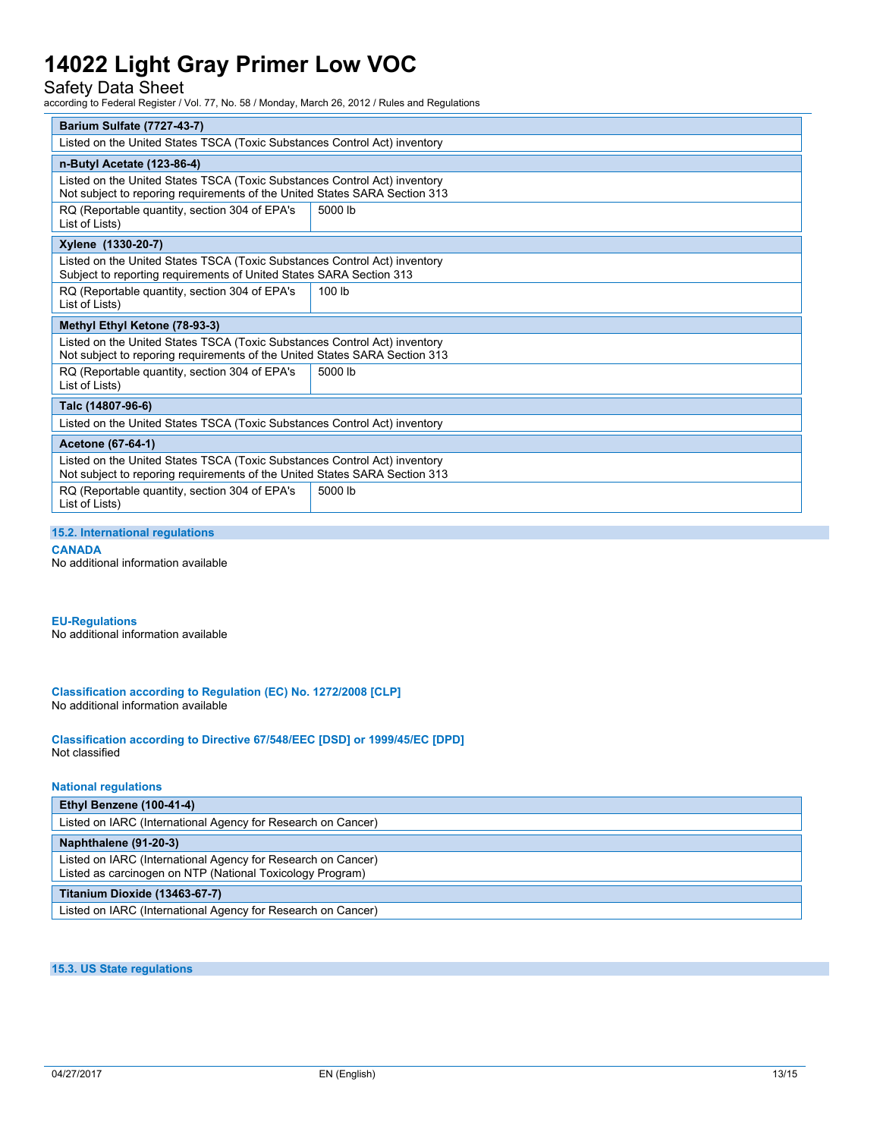### Safety Data Sheet

according to Federal Register / Vol. 77, No. 58 / Monday, March 26, 2012 / Rules and Regulations

| <b>Barium Sulfate (7727-43-7)</b>                                                                                                                       |         |  |
|---------------------------------------------------------------------------------------------------------------------------------------------------------|---------|--|
| Listed on the United States TSCA (Toxic Substances Control Act) inventory                                                                               |         |  |
| n-Butyl Acetate (123-86-4)                                                                                                                              |         |  |
| Listed on the United States TSCA (Toxic Substances Control Act) inventory<br>Not subject to reporing requirements of the United States SARA Section 313 |         |  |
| RQ (Reportable quantity, section 304 of EPA's<br>List of Lists)                                                                                         | 5000 lb |  |
| Xylene (1330-20-7)                                                                                                                                      |         |  |
| Listed on the United States TSCA (Toxic Substances Control Act) inventory<br>Subject to reporting requirements of United States SARA Section 313        |         |  |
| RQ (Reportable quantity, section 304 of EPA's<br>List of Lists)                                                                                         | 100 lb  |  |
| Methyl Ethyl Ketone (78-93-3)                                                                                                                           |         |  |
| Listed on the United States TSCA (Toxic Substances Control Act) inventory<br>Not subject to reporing requirements of the United States SARA Section 313 |         |  |
| RQ (Reportable quantity, section 304 of EPA's<br>List of Lists)                                                                                         | 5000 lb |  |
| Talc (14807-96-6)                                                                                                                                       |         |  |
| Listed on the United States TSCA (Toxic Substances Control Act) inventory                                                                               |         |  |
| Acetone (67-64-1)                                                                                                                                       |         |  |
| Listed on the United States TSCA (Toxic Substances Control Act) inventory<br>Not subject to reporing requirements of the United States SARA Section 313 |         |  |
| 5000 lb<br>RQ (Reportable quantity, section 304 of EPA's<br>List of Lists)                                                                              |         |  |

#### **15.2. International regulations**

**CANADA**

No additional information available

### **EU-Regulations**

No additional information available

**Classification according to Regulation (EC) No. 1272/2008 [CLP]** No additional information available

**Classification according to Directive 67/548/EEC [DSD] or 1999/45/EC [DPD]** Not classified

#### **National regulations**

| Ethyl Benzene (100-41-4)                                                                                                  |
|---------------------------------------------------------------------------------------------------------------------------|
| Listed on IARC (International Agency for Research on Cancer)                                                              |
| Naphthalene (91-20-3)                                                                                                     |
| Listed on IARC (International Agency for Research on Cancer)<br>Listed as carcinogen on NTP (National Toxicology Program) |
| Titanium Dioxide (13463-67-7)                                                                                             |
| Listed on IARC (International Agency for Research on Cancer)                                                              |

**15.3. US State regulations**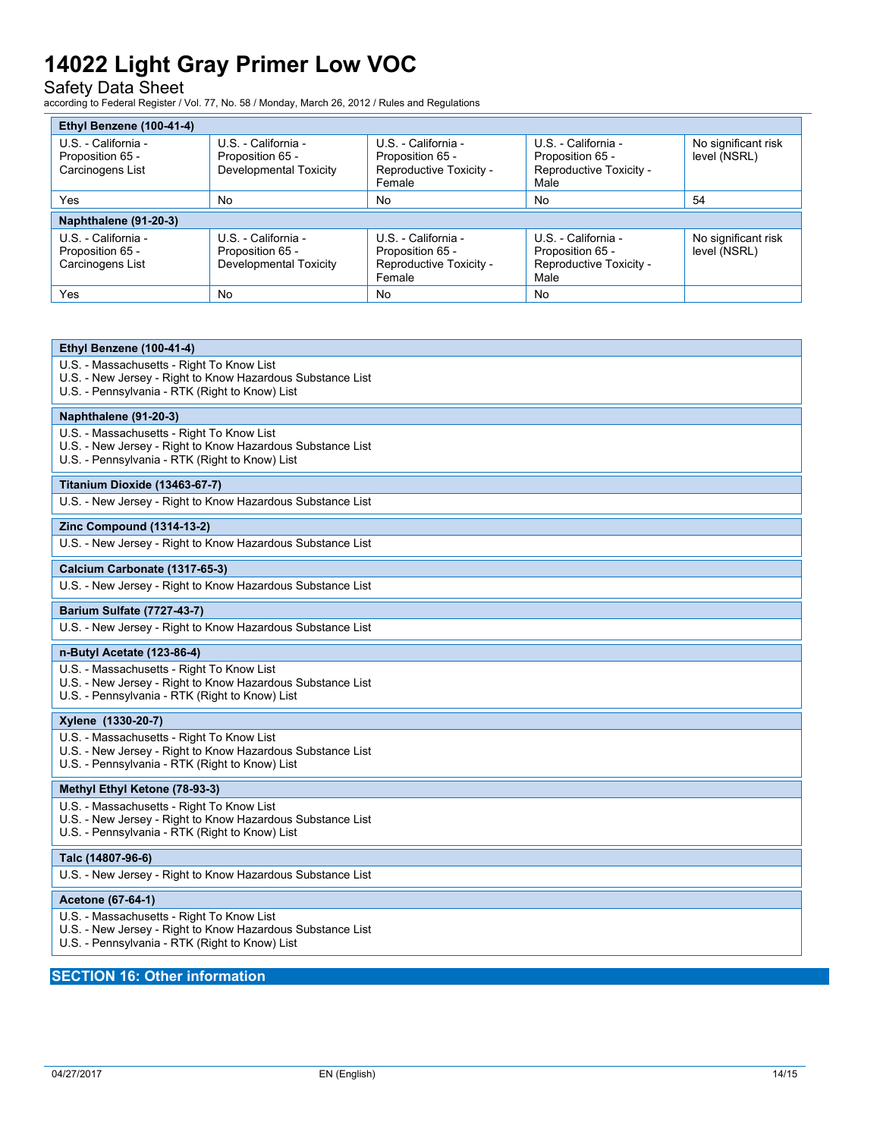### Safety Data Sheet

according to Federal Register / Vol. 77, No. 58 / Monday, March 26, 2012 / Rules and Regulations

| Ethyl Benzene (100-41-4)                                    |                                                                   |                                                                              |                                                                            |                                     |
|-------------------------------------------------------------|-------------------------------------------------------------------|------------------------------------------------------------------------------|----------------------------------------------------------------------------|-------------------------------------|
| U.S. - California -<br>Proposition 65 -<br>Carcinogens List | U.S. - California -<br>Proposition 65 -<br>Developmental Toxicity | U.S. - California -<br>Proposition 65 -<br>Reproductive Toxicity -<br>Female | U.S. - California -<br>Proposition 65 -<br>Reproductive Toxicity -<br>Male | No significant risk<br>level (NSRL) |
| Yes                                                         | No                                                                | No                                                                           | No                                                                         | 54                                  |
| Naphthalene (91-20-3)                                       |                                                                   |                                                                              |                                                                            |                                     |
| U.S. - California -<br>Proposition 65 -<br>Carcinogens List | U.S. - California -<br>Proposition 65 -<br>Developmental Toxicity | U.S. - California -<br>Proposition 65 -<br>Reproductive Toxicity -<br>Female | U.S. - California -<br>Proposition 65 -<br>Reproductive Toxicity -<br>Male | No significant risk<br>level (NSRL) |
| <b>Yes</b>                                                  | No                                                                | <b>No</b>                                                                    | <b>No</b>                                                                  |                                     |

| Ethyl Benzene (100-41-4)                                                                                                                                  |
|-----------------------------------------------------------------------------------------------------------------------------------------------------------|
| U.S. - Massachusetts - Right To Know List<br>U.S. - New Jersey - Right to Know Hazardous Substance List<br>U.S. - Pennsylvania - RTK (Right to Know) List |
| Naphthalene (91-20-3)                                                                                                                                     |
| U.S. - Massachusetts - Right To Know List<br>U.S. - New Jersey - Right to Know Hazardous Substance List<br>U.S. - Pennsylvania - RTK (Right to Know) List |
| Titanium Dioxide (13463-67-7)                                                                                                                             |
| U.S. - New Jersey - Right to Know Hazardous Substance List                                                                                                |
| <b>Zinc Compound (1314-13-2)</b>                                                                                                                          |
| U.S. - New Jersey - Right to Know Hazardous Substance List                                                                                                |
| Calcium Carbonate (1317-65-3)                                                                                                                             |
| U.S. - New Jersey - Right to Know Hazardous Substance List                                                                                                |
| <b>Barium Sulfate (7727-43-7)</b>                                                                                                                         |
| U.S. - New Jersey - Right to Know Hazardous Substance List                                                                                                |
| n-Butyl Acetate (123-86-4)                                                                                                                                |
| U.S. - Massachusetts - Right To Know List<br>U.S. - New Jersey - Right to Know Hazardous Substance List<br>U.S. - Pennsylvania - RTK (Right to Know) List |
| Xylene (1330-20-7)                                                                                                                                        |
| U.S. - Massachusetts - Right To Know List<br>U.S. - New Jersey - Right to Know Hazardous Substance List<br>U.S. - Pennsylvania - RTK (Right to Know) List |
| Methyl Ethyl Ketone (78-93-3)                                                                                                                             |
| U.S. - Massachusetts - Right To Know List<br>U.S. - New Jersey - Right to Know Hazardous Substance List<br>U.S. - Pennsylvania - RTK (Right to Know) List |
| Talc (14807-96-6)                                                                                                                                         |
| U.S. - New Jersey - Right to Know Hazardous Substance List                                                                                                |
| Acetone (67-64-1)                                                                                                                                         |
| U.S. - Massachusetts - Right To Know List<br>U.S. - New Jersey - Right to Know Hazardous Substance List<br>U.S. - Pennsylvania - RTK (Right to Know) List |

### **SECTION 16: Other information**